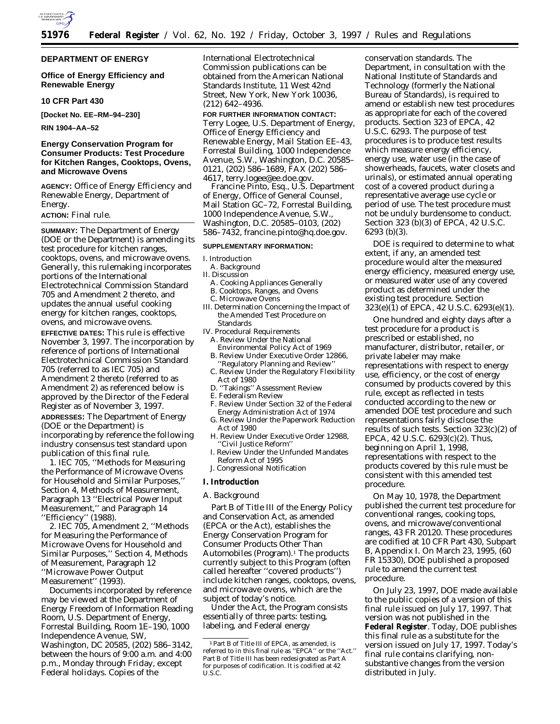

## **DEPARTMENT OF ENERGY**

## **Office of Energy Efficiency and Renewable Energy**

## **10 CFR Part 430**

**[Docket No. EE–RM–94–230]**

**RIN 1904–AA–52**

## **Energy Conservation Program for Consumer Products: Test Procedure for Kitchen Ranges, Cooktops, Ovens, and Microwave Ovens**

**AGENCY:** Office of Energy Efficiency and Renewable Energy, Department of Energy.

## **ACTION:** Final rule.

**SUMMARY:** The Department of Energy (DOE or the Department) is amending its test procedure for kitchen ranges, cooktops, ovens, and microwave ovens. Generally, this rulemaking incorporates portions of the International Electrotechnical Commission Standard 705 and Amendment 2 thereto, and updates the annual useful cooking energy for kitchen ranges, cooktops, ovens, and microwave ovens.

**EFFECTIVE DATES:** This rule is effective November 3, 1997. The incorporation by reference of portions of International Electrotechnical Commission Standard 705 (referred to as IEC 705) and Amendment 2 thereto (referred to as Amendment 2) as referenced below is approved by the Director of the Federal Register as of November 3, 1997.

**ADDRESSES:** The Department of Energy (DOE or the Department) is incorporating by reference the following industry consensus test standard upon publication of this final rule.

1. IEC 705, ''Methods for Measuring the Performance of Microwave Ovens for Household and Similar Purposes,'' Section 4, Methods of Measurement, Paragraph 13 ''Electrical Power Input Measurement,'' and Paragraph 14 ''Efficiency'' (1988).

2. IEC 705, Amendment 2, ''Methods for Measuring the Performance of Microwave Ovens for Household and Similar Purposes,'' Section 4, Methods of Measurement, Paragraph 12 ''Microwave Power Output Measurement'' (1993).

Documents incorporated by reference may be viewed at the Department of Energy Freedom of Information Reading Room, U.S. Department of Energy, Forrestal Building, Room 1E–190, 1000 Independence Avenue, SW, Washington, DC 20585, (202) 586–3142, between the hours of 9:00 a.m. and 4:00 p.m., Monday through Friday, except Federal holidays. Copies of the

International Electrotechnical Commission publications can be obtained from the American National Standards Institute, 11 West 42nd Street, New York, New York 10036, (212) 642–4936.

# **FOR FURTHER INFORMATION CONTACT:**

Terry Logee, U.S. Department of Energy, Office of Energy Efficiency and Renewable Energy, Mail Station EE–43, Forrestal Building, 1000 Independence Avenue, S.W., Washington, D.C. 20585– 0121, (202) 586–1689, FAX (202) 586– 4617, terry.logee@ee.doe.gov.

Francine Pinto, Esq., U.S. Department of Energy, Office of General Counsel, Mail Station GC–72, Forrestal Building, 1000 Independence Avenue, S.W., Washington, D.C. 20585–0103, (202) 586–7432, francine.pinto@hq.doe.gov.

#### **SUPPLEMENTARY INFORMATION:**

#### I. Introduction

- A. Background
- II. Discussion
	- A. Cooking Appliances Generally
	- B. Cooktops, Ranges, and Ovens
- C. Microwave Ovens
- III. Determination Concerning the Impact of the Amended Test Procedure on Standards
- IV. Procedural Requirements
- A. Review Under the National Environmental Policy Act of 1969
- B. Review Under Executive Order 12866, 'Regulatory Planning and Review"
- C. Review Under the Regulatory Flexibility Act of 1980
- D. ''Takings'' Assessment Review
- E. Federalism Review
- F. Review Under Section 32 of the Federal Energy Administration Act of 1974
- G. Review Under the Paperwork Reduction Act of 1980
- H. Review Under Executive Order 12988, ''Civil Justice Reform''
- I. Review Under the Unfunded Mandates Reform Act of 1995
- J. Congressional Notification

## **I. Introduction**

# *A. Background*

Part B of Title III of the Energy Policy and Conservation Act, as amended (EPCA or the Act), establishes the Energy Conservation Program for Consumer Products Other Than Automobiles (Program).<sup>1</sup> The products currently subject to this Program (often called hereafter ''covered products'') include kitchen ranges, cooktops, ovens, and microwave ovens, which are the subject of today's notice.

Under the Act, the Program consists essentially of three parts: testing, labeling, and Federal energy

conservation standards. The Department, in consultation with the National Institute of Standards and Technology (formerly the National Bureau of Standards), is required to amend or establish new test procedures as appropriate for each of the covered products. Section 323 of EPCA, 42 U.S.C. 6293. The purpose of test procedures is to produce test results which measure energy efficiency, energy use, water use (in the case of showerheads, faucets, water closets and urinals), or estimated annual operating cost of a covered product during a representative average use cycle or period of use. The test procedure must not be unduly burdensome to conduct. Section 323 (b)(3) of EPCA, 42 U.S.C. 6293 (b)(3).

DOE is required to determine to what extent, if any, an amended test procedure would alter the measured energy efficiency, measured energy use, or measured water use of any covered product as determined under the existing test procedure. Section 323(e)(1) of EPCA, 42 U.S.C. 6293(e)(1).

One hundred and eighty days after a test procedure for a product is prescribed or established, no manufacturer, distributor, retailer, or private labeler may make representations with respect to energy use, efficiency, or the cost of energy consumed by products covered by this rule, except as reflected in tests conducted according to the new or amended DOE test procedure and such representations fairly disclose the results of such tests. Section 323(c)(2) of EPCA, 42 U.S.C. 6293(c)(2). Thus, beginning on April 1, 1998, representations with respect to the products covered by this rule must be consistent with this amended test procedure.

On May 10, 1978, the Department published the current test procedure for conventional ranges, cooking tops, ovens, and microwave/conventional ranges, 43 FR 20120. These procedures are codified at 10 CFR Part 430, Subpart B, Appendix I. On March 23, 1995, (60 FR 15330), DOE published a proposed rule to amend the current test procedure.

On July 23, 1997, DOE made available to the public copies of a version of this final rule issued on July 17, 1997. That version was not published in the **Federal Register**. Today, DOE publishes this final rule as a substitute for the version issued on July 17, 1997. Today's final rule contains clarifying, nonsubstantive changes from the version distributed in July.

<sup>1</sup>Part B of Title III of EPCA, as amended, is referred to in this final rule as ''EPCA'' or the ''Act.'' Part B of Title III has been redesignated as Part A for purposes of codification. It is codified at 42 U.S.C.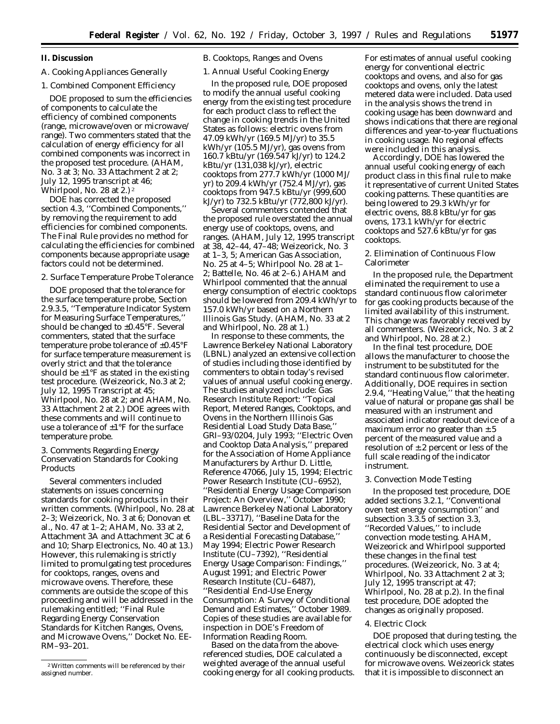## **II. Discussion**

## *A. Cooking Appliances Generally*

## 1. Combined Component Efficiency

DOE proposed to sum the efficiencies of components to calculate the efficiency of combined components (range, microwave/oven or microwave/ range). Two commenters stated that the calculation of energy efficiency for all combined components was incorrect in the proposed test procedure. (AHAM, No. 3 at 3; No. 33 Attachment 2 at 2; July 12, 1995 transcript at 46; Whirlpool, No. 28 at  $2$ .)  $2$ 

DOE has corrected the proposed section 4.3, ''Combined Components,'' by removing the requirement to add efficiencies for combined components. The Final Rule provides no method for calculating the efficiencies for combined components because appropriate usage factors could not be determined.

## 2. Surface Temperature Probe Tolerance

DOE proposed that the tolerance for the surface temperature probe, Section 2.9.3.5, ''Temperature Indicator System for Measuring Surface Temperatures,'' should be changed to  $\pm 0.45$ °F. Several commenters, stated that the surface temperature probe tolerance of ±0.45°F for surface temperature measurement is overly strict and that the tolerance should be  $\pm 1$ °F as stated in the existing test procedure. (Weizeorick, No.3 at 2; July 12, 1995 Transcript at 45; Whirlpool, No. 28 at 2; and AHAM, No. 33 Attachment 2 at 2.) DOE agrees with these comments and will continue to use a tolerance of ±1°F for the surface temperature probe.

## 3. Comments Regarding Energy Conservation Standards for Cooking Products

Several commenters included statements on issues concerning standards for cooking products in their written comments. (Whirlpool, No. 28 at 2–3; Weizeorick, No. 3 at 6; Donovan et al., No. 47 at 1–2; AHAM, No. 33 at 2, Attachment 3A and Attachment 3C at 6 and 10; Sharp Electronics, No. 40 at 13.) However, this rulemaking is strictly limited to promulgating test procedures for cooktops, ranges, ovens and microwave ovens. Therefore, these comments are outside the scope of this proceeding and will be addressed in the rulemaking entitled; ''Final Rule Regarding Energy Conservation Standards for Kitchen Ranges, Ovens, and Microwave Ovens,'' Docket No. EE-RM–93–201.

# *B. Cooktops, Ranges and Ovens*

## 1. Annual Useful Cooking Energy

In the proposed rule, DOE proposed to modify the annual useful cooking energy from the existing test procedure for each product class to reflect the change in cooking trends in the United States as follows: electric ovens from 47.09 kWh/yr (169.5 MJ/yr) to 35.5 kWh/yr (105.5 MJ/yr), gas ovens from 160.7 kBtu/yr (169.547 kJ/yr) to 124.2 kBtu/yr (131,038 kJ/yr), electric cooktops from 277.7 kWh/yr (1000 MJ/ yr) to 209.4 kWh/yr (752.4 MJ/yr), gas cooktops from 947.5 kBtu/yr (999,600 kJ/yr) to 732.5 kBtu/yr (772,800 kJ/yr).

Several commenters contended that the proposed rule overstated the annual energy use of cooktops, ovens, and ranges. (AHAM, July 12, 1995 transcript at 38, 42–44, 47–48; Weizeorick, No. 3 at 1–3, 5; American Gas Association, No. 25 at 4–5; Whirlpool No. 28 at 1– 2; Battelle, No. 46 at 2–6.) AHAM and Whirlpool commented that the annual energy consumption of electric cooktops should be lowered from 209.4 kWh/yr to 157.0 kWh/yr based on a Northern Illinois Gas Study. (AHAM, No. 33 at 2 and Whirlpool, No. 28 at 1.)

In response to these comments, the Lawrence Berkeley National Laboratory (LBNL) analyzed an extensive collection of studies including those identified by commenters to obtain today's revised values of annual useful cooking energy. The studies analyzed include: Gas Research Institute Report: ''Topical Report, Metered Ranges, Cooktops, and Ovens in the Northern Illinois Gas Residential Load Study Data Base,'' GRI–93/0204, July 1993; ''Electric Oven and Cooktop Data Analysis,'' prepared for the Association of Home Appliance Manufacturers by Arthur D. Little, Reference 47066, July 15, 1994; Electric Power Research Institute (CU–6952), ''Residential Energy Usage Comparison Project: An Overview,'' October 1990; Lawrence Berkeley National Laboratory (LBL–33717), ''Baseline Data for the Residential Sector and Development of a Residential Forecasting Database,'' May 1994; Electric Power Research Institute (CU–7392), ''Residential Energy Usage Comparison: Findings,'' August 1991; and Electric Power Research Institute (CU–6487), ''Residential End-Use Energy Consumption: A Survey of Conditional Demand and Estimates,'' October 1989. Copies of these studies are available for inspection in DOE's Freedom of Information Reading Room.

Based on the data from the abovereferenced studies, DOE calculated a weighted average of the annual useful cooking energy for all cooking products. For estimates of annual useful cooking energy for conventional electric cooktops and ovens, and also for gas cooktops and ovens, only the latest metered data were included. Data used in the analysis shows the trend in cooking usage has been downward and shows indications that there are regional differences and year-to-year fluctuations in cooking usage. No regional effects were included in this analysis.

Accordingly, DOE has lowered the annual useful cooking energy of each product class in this final rule to make it representative of current United States cooking patterns. These quantities are being lowered to 29.3 kWh/yr for electric ovens, 88.8 kBtu/yr for gas ovens, 173.1 kWh/yr for electric cooktops and 527.6 kBtu/yr for gas cooktops.

#### 2. Elimination of Continuous Flow Calorimeter

In the proposed rule, the Department eliminated the requirement to use a standard continuous flow calorimeter for gas cooking products because of the limited availability of this instrument. This change was favorably received by all commenters. (Weizeorick, No. 3 at 2 and Whirlpool, No. 28 at 2.)

In the final test procedure, DOE allows the manufacturer to choose the instrument to be substituted for the standard continuous flow calorimeter. Additionally, DOE requires in section 2.9.4, ''Heating Value,'' that the heating value of natural or propane gas shall be measured with an instrument and associated indicator readout device of a maximum error no greater than  $\pm$ .5 percent of the measured value and a resolution of  $\pm$ .2 percent or less of the full scale reading of the indicator instrument.

## 3. Convection Mode Testing

In the proposed test procedure, DOE added sections 3.2.1, ''Conventional oven test energy consumption'' and subsection 3.3.5 of section 3.3, ''Recorded Values,'' to include convection mode testing. AHAM, Weizeorick and Whirlpool supported these changes in the final test procedures. (Weizeorick, No. 3 at 4; Whirlpool, No. 33 Attachment 2 at 3; July 12, 1995 transcript at 47; Whirlpool, No. 28 at p.2). In the final test procedure, DOE adopted the changes as originally proposed.

#### 4. Electric Clock

DOE proposed that during testing, the electrical clock which uses energy continuously be disconnected, except for microwave ovens. Weizeorick states that it is impossible to disconnect an

<sup>2</sup>Written comments will be referenced by their assigned number.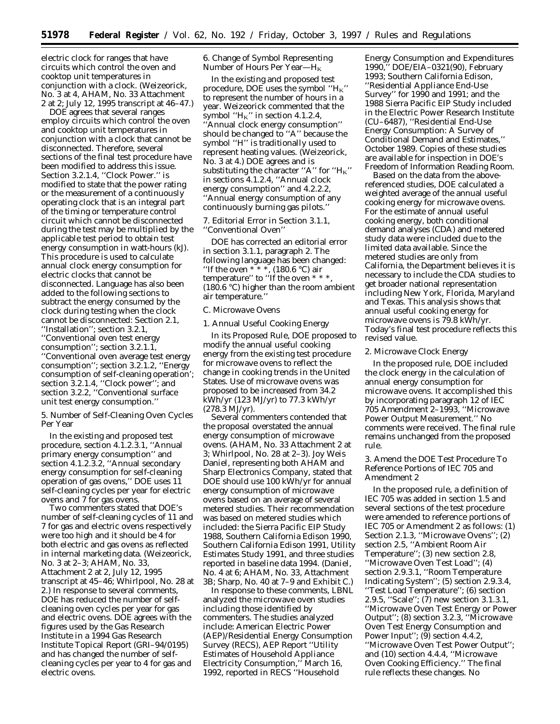electric clock for ranges that have circuits which control the oven and cooktop unit temperatures in conjunction with a clock. (Weizeorick, No. 3 at 4, AHAM, No. 33 Attachment 2 at 2; July 12, 1995 transcript at 46–47.)

DOE agrees that several ranges employ circuits which control the oven and cooktop unit temperatures in conjunction with a clock that cannot be disconnected. Therefore, several sections of the final test procedure have been modified to address this issue. Section 3.2.1.4, ''Clock Power.'' is modified to state that the power rating or the measurement of a continuously operating clock that is an integral part of the timing or temperature control circuit which cannot be disconnected during the test may be multiplied by the applicable test period to obtain test energy consumption in watt-hours (kJ). This procedure is used to calculate annual clock energy consumption for electric clocks that cannot be disconnected. Language has also been added to the following sections to subtract the energy consumed by the clock during testing when the clock cannot be disconnected: Section 2.1, ''Installation''; section 3.2.1, ''Conventional oven test energy consumption''; section 3.2.1.1, ''Conventional oven average test energy consumption''; section 3.2.1.2, ''Energy consumption of self-cleaning operation'; section 3.2.1.4, ''Clock power''; and section 3.2.2, ''Conventional surface unit test energy consumption.''

5. Number of Self-Cleaning Oven Cycles Per Year

In the existing and proposed test procedure, section 4.1.2.3.1, ''Annual primary energy consumption'' and section 4.1.2.3.2, "Annual secondary energy consumption for self-cleaning operation of gas ovens,'' DOE uses 11 self-cleaning cycles per year for electric ovens and 7 for gas ovens.

Two commenters stated that DOE's number of self-cleaning cycles of 11 and 7 for gas and electric ovens respectively were too high and it should be 4 for both electric and gas ovens as reflected in internal marketing data. (Weizeorick, No. 3 at 2–3; AHAM, No. 33, Attachment 2 at 2, July 12, 1995 transcript at 45–46; Whirlpool, No. 28 at 2.) In response to several comments, DOE has reduced the number of selfcleaning oven cycles per year for gas and electric ovens. DOE agrees with the figures used by the Gas Research Institute in a 1994 Gas Research Institute Topical Report (GRI–94/0195) and has changed the number of selfcleaning cycles per year to 4 for gas and electric ovens.

6. Change of Symbol Representing Number of Hours Per Year— $H_K$ 

In the existing and proposed test procedure, DOE uses the symbol ''HK'' to represent the number of hours in a year. Weizeorick commented that the symbol " $H_K$ " in section 4.1.2.4, ''Annual clock energy consumption'' should be changed to ''A'' because the symbol ''H'' is traditionally used to represent heating values. (Weizeorick, No. 3 at 4.) DOE agrees and is substituting the character "A" for " $H_K$ " in sections 4.1.2.4, ''Annual clock energy consumption'' and 4.2.2.2, ''Annual energy consumption of any continuously burning gas pilots.''

7. Editorial Error in Section 3.1.1, ''Conventional Oven''

DOE has corrected an editorial error in section 3.1.1, paragraph 2. The following language has been changed: "If the oven  $***$ , (180.6 °C) air temperature" to "If the oven  $***$ (180.6 °C) higher than the room ambient air temperature.''

## *C. Microwave Ovens*

1. Annual Useful Cooking Energy

In its Proposed Rule, DOE proposed to modify the annual useful cooking energy from the existing test procedure for microwave ovens to reflect the change in cooking trends in the United States. Use of microwave ovens was proposed to be increased from 34.2 kWh/yr (123 MJ/yr) to 77.3 kWh/yr (278.3 MJ/yr).

Several commenters contended that the proposal overstated the annual energy consumption of microwave ovens. (AHAM, No. 33 Attachment 2 at 3; Whirlpool, No. 28 at 2–3). Joy Weis Daniel, representing both AHAM and Sharp Electronics Company, stated that DOE should use 100 kWh/yr for annual energy consumption of microwave ovens based on an average of several metered studies. Their recommendation was based on metered studies which included: the Sierra Pacific EIP Study 1988, Southern California Edison 1990, Southern California Edison 1991, Utility Estimates Study 1991, and three studies reported in baseline data 1994. (Daniel, No. 4 at 6; AHAM, No. 33, Attachment 3B; Sharp, No. 40 at 7–9 and Exhibit C.)

In response to these comments, LBNL analyzed the microwave oven studies including those identified by commenters. The studies analyzed include: American Electric Power (AEP)/Residential Energy Consumption Survey (RECS), AEP Report ''Utility Estimates of Household Appliance Electricity Consumption,'' March 16, 1992, reported in RECS ''Household

Energy Consumption and Expenditures 1990,'' DOE/EIA–0321(90), February 1993; Southern California Edison, ''Residential Appliance End-Use Survey'' for 1990 and 1991; and the 1988 Sierra Pacific EIP Study included in the Electric Power Research Institute (CU–6487), ''Residential End-Use Energy Consumption: A Survey of Conditional Demand and Estimates,'' October 1989. Copies of these studies are available for inspection in DOE's Freedom of Information Reading Room.

Based on the data from the abovereferenced studies, DOE calculated a weighted average of the annual useful cooking energy for microwave ovens. For the estimate of annual useful cooking energy, both conditional demand analyses (CDA) and metered study data were included due to the limited data available. Since the metered studies are only from California, the Department believes it is necessary to include the CDA studies to get broader national representation including New York, Florida, Maryland and Texas. This analysis shows that annual useful cooking energy for microwave ovens is 79.8 kWh/yr. Today's final test procedure reflects this revised value.

#### 2. Microwave Clock Energy

In the proposed rule, DOE included the clock energy in the calculation of annual energy consumption for microwave ovens. It accomplished this by incorporating paragraph 12 of IEC 705 Amendment 2–1993, ''Microwave Power Output Measurement.'' No comments were received. The final rule remains unchanged from the proposed rule.

## 3. Amend the DOE Test Procedure To Reference Portions of IEC 705 and Amendment 2

In the proposed rule, a definition of IEC 705 was added in section 1.5 and several sections of the test procedure were amended to reference portions of IEC 705 or Amendment 2 as follows: (1) Section 2.1.3, ''Microwave Ovens''; (2) section 2.5, ''Ambient Room Air Temperature''; (3) new section 2.8, ''Microwave Oven Test Load''; (4) section 2.9.3.1, ''Room Temperature Indicating System''; (5) section 2.9.3.4, ''Test Load Temperature''; (6) section 2.9.5, ''Scale''; (7) new section 3.1.3.1, ''Microwave Oven Test Energy or Power Output''; (8) section 3.2.3, ''Microwave Oven Test Energy Consumption and Power Input";  $\overline{(9)}$  section 4.4.2, ''Microwave Oven Test Power Output''; and (10) section 4.4.4, ''Microwave Oven Cooking Efficiency.'' The final rule reflects these changes. No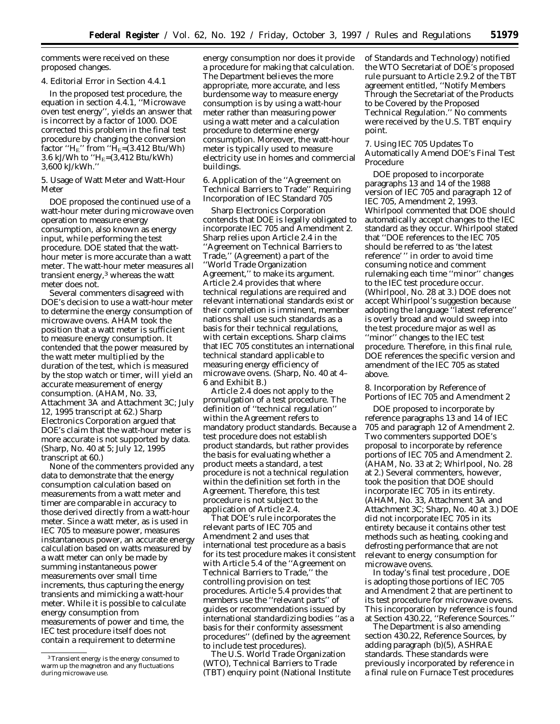comments were received on these proposed changes.

#### 4. Editorial Error in Section 4.4.1

In the proposed test procedure, the equation in section 4.4.1, ''Microwave oven test energy'', yields an answer that is incorrect by a factor of 1000. DOE corrected this problem in the final test procedure by changing the conversion factor " $H<sub>E</sub>$ " from " $H<sub>E</sub>=(3.412 \text{ Btu/Wh})$ 3.6 kJ/Wh to " $H_E=(3,412 \text{ Btu/kWh})$ 3,600 kJ/kWh.''

5. Usage of Watt Meter and Watt-Hour Meter

DOE proposed the continued use of a watt-hour meter during microwave oven operation to measure energy consumption, also known as energy input, while performing the test procedure. DOE stated that the watthour meter is more accurate than a watt meter. The watt-hour meter measures all transient energy,3 whereas the watt meter does not.

Several commenters disagreed with DOE's decision to use a watt-hour meter to determine the energy consumption of microwave ovens. AHAM took the position that a watt meter is sufficient to measure energy consumption. It contended that the power measured by the watt meter multiplied by the duration of the test, which is measured by the stop watch or timer, will yield an accurate measurement of energy consumption. (AHAM, No. 33, Attachment 3A and Attachment 3C; July 12, 1995 transcript at 62.) Sharp Electronics Corporation argued that DOE's claim that the watt-hour meter is more accurate is not supported by data. (Sharp, No. 40 at 5; July 12, 1995 transcript at 60.)

None of the commenters provided any data to demonstrate that the energy consumption calculation based on measurements from a watt meter and timer are comparable in accuracy to those derived directly from a watt-hour meter. Since a watt meter, as is used in IEC 705 to measure power, measures instantaneous power, an accurate energy calculation based on watts measured by a watt meter can only be made by summing instantaneous power measurements over small time increments, thus capturing the energy transients and mimicking a watt-hour meter. While it is possible to calculate energy consumption from measurements of power and time, the IEC test procedure itself does not contain a requirement to determine

energy consumption nor does it provide a procedure for making that calculation. The Department believes the more appropriate, more accurate, and less burdensome way to measure energy consumption is by using a watt-hour meter rather than measuring power using a watt meter and a calculation procedure to determine energy consumption. Moreover, the watt-hour meter is typically used to measure electricity use in homes and commercial buildings.

6. Application of the ''Agreement on Technical Barriers to Trade'' Requiring Incorporation of IEC Standard 705

Sharp Electronics Corporation contends that DOE is legally obligated to incorporate IEC 705 and Amendment 2. Sharp relies upon Article 2.4 in the ''Agreement on Technical Barriers to Trade,'' (Agreement) a part of the ''World Trade Organization Agreement,'' to make its argument. Article 2.4 provides that where technical regulations are required and relevant international standards exist or their completion is imminent, member nations shall use such standards as a basis for their technical regulations, with certain exceptions. Sharp claims that IEC 705 constitutes an international technical standard applicable to measuring energy efficiency of microwave ovens. (Sharp, No. 40 at 4– 6 and Exhibit B.)

Article 2.4 does not apply to the promulgation of a test procedure. The definition of ''technical regulation'' within the Agreement refers to mandatory product standards. Because a test procedure does not establish product standards, but rather provides the basis for evaluating whether a product meets a standard, a test procedure is not a technical regulation within the definition set forth in the Agreement. Therefore, this test procedure is not subject to the application of Article 2.4.

That DOE's rule incorporates the relevant parts of IEC 705 and Amendment 2 and uses that international test procedure as a basis for its test procedure makes it consistent with Article 5.4 of the ''Agreement on Technical Barriers to Trade,'' the controlling provision on test procedures. Article 5.4 provides that members use the ''relevant parts'' of guides or recommendations issued by international standardizing bodies ''as a basis for their conformity assessment procedures'' (defined by the agreement to include test procedures).

The U.S. World Trade Organization (WTO), Technical Barriers to Trade (TBT) enquiry point (National Institute of Standards and Technology) notified the WTO Secretariat of DOE's proposed rule pursuant to Article 2.9.2 of the TBT agreement entitled, ''Notify Members Through the Secretariat of the Products to be Covered by the Proposed Technical Regulation.'' No comments were received by the U.S. TBT enquiry point.

7. Using IEC 705 Updates To Automatically Amend DOE's Final Test Procedure

DOE proposed to incorporate paragraphs 13 and 14 of the 1988 version of IEC 705 and paragraph 12 of IEC 705, Amendment 2, 1993. Whirlpool commented that DOE should automatically accept changes to the IEC standard as they occur. Whirlpool stated that ''DOE references to the IEC 705 should be referred to as 'the latest reference' '' in order to avoid time consuming notice and comment rulemaking each time ''minor'' changes to the IEC test procedure occur. (Whirlpool, No. 28 at 3.) DOE does not accept Whirlpool's suggestion because adopting the language ''latest reference'' is overly broad and would sweep into the test procedure major as well as ''minor'' changes to the IEC test procedure. Therefore, in this final rule, DOE references the specific version and amendment of the IEC 705 as stated above.

8. Incorporation by Reference of Portions of IEC 705 and Amendment 2

DOE proposed to incorporate by reference paragraphs 13 and 14 of IEC 705 and paragraph 12 of Amendment 2. Two commenters supported DOE's proposal to incorporate by reference portions of IEC 705 and Amendment 2. (AHAM, No. 33 at 2; Whirlpool, No. 28 at 2.) Several commenters, however, took the position that DOE should incorporate IEC 705 in its entirety. (AHAM, No. 33, Attachment 3A and Attachment 3C; Sharp, No. 40 at 3.) DOE did not incorporate IEC 705 in its entirety because it contains other test methods such as heating, cooking and defrosting performance that are not relevant to energy consumption for microwave ovens.

In today's final test procedure , DOE is adopting those portions of IEC 705 and Amendment 2 that are pertinent to its test procedure for microwave ovens. This incorporation by reference is found at Section 430.22, ''Reference Sources.''

The Department is also amending section 430.22, Reference Sources, by adding paragraph (b)(5), ASHRAE standards. These standards were previously incorporated by reference in a final rule on Furnace Test procedures

<sup>3</sup>Transient energy is the energy consumed to warm up the magnetron and any fluctuations during microwave use.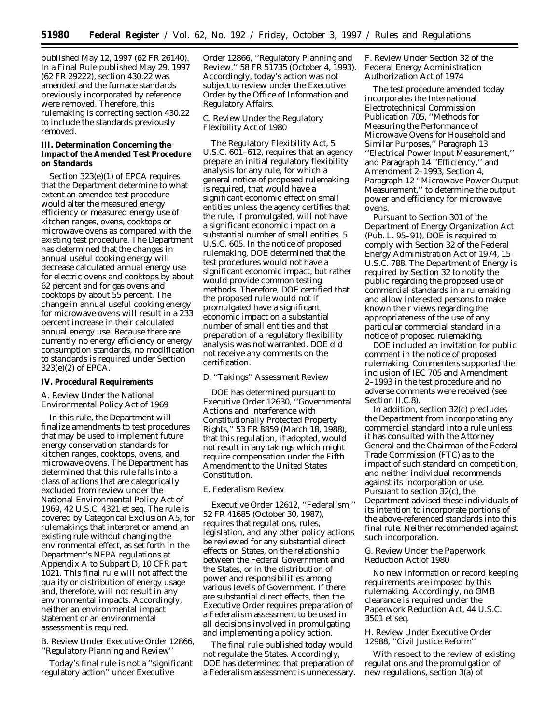published May 12, 1997 (62 FR 26140). In a Final Rule published May 29, 1997 (62 FR 29222), section 430.22 was amended and the furnace standards previously incorporated by reference were removed. Therefore, this rulemaking is correcting section 430.22 to include the standards previously removed.

## **III. Determination Concerning the Impact of the Amended Test Procedure on Standards**

Section 323(e)(1) of EPCA requires that the Department determine to what extent an amended test procedure would alter the measured energy efficiency or measured energy use of kitchen ranges, ovens, cooktops or microwave ovens as compared with the existing test procedure. The Department has determined that the changes in annual useful cooking energy will decrease calculated annual energy use for electric ovens and cooktops by about 62 percent and for gas ovens and cooktops by about 55 percent. The change in annual useful cooking energy for microwave ovens will result in a 233 percent increase in their calculated annual energy use. Because there are currently no energy efficiency or energy consumption standards, no modification to standards is required under Section 323(e)(2) of EPCA.

#### **IV. Procedural Requirements**

## *A. Review Under the National Environmental Policy Act of 1969*

In this rule, the Department will finalize amendments to test procedures that may be used to implement future energy conservation standards for kitchen ranges, cooktops, ovens, and microwave ovens. The Department has determined that this rule falls into a class of actions that are categorically excluded from review under the National Environmental Policy Act of 1969, 42 U.S.C. 4321 *et seq*. The rule is covered by Categorical Exclusion A5, for rulemakings that interpret or amend an existing rule without changing the environmental effect, as set forth in the Department's NEPA regulations at Appendix A to Subpart D, 10 CFR part 1021. This final rule will not affect the quality or distribution of energy usage and, therefore, will not result in any environmental impacts. Accordingly, neither an environmental impact statement or an environmental assessment is required.

## *B. Review Under Executive Order 12866, ''Regulatory Planning and Review''*

Today's final rule is not a ''significant regulatory action'' under Executive

Order 12866, ''Regulatory Planning and Review.'' 58 FR 51735 (October 4, 1993). Accordingly, today's action was not subject to review under the Executive Order by the Office of Information and Regulatory Affairs.

## *C. Review Under the Regulatory Flexibility Act of 1980*

The Regulatory Flexibility Act, 5 U.S.C. 601-612, requires that an agency prepare an initial regulatory flexibility analysis for any rule, for which a general notice of proposed rulemaking is required, that would have a significant economic effect on small entities unless the agency certifies that the rule, if promulgated, will not have a significant economic impact on a substantial number of small entities. 5 U.S.C. 605. In the notice of proposed rulemaking, DOE determined that the test procedures would not have a significant economic impact, but rather would provide common testing methods. Therefore, DOE certified that the proposed rule would not if promulgated have a significant economic impact on a substantial number of small entities and that preparation of a regulatory flexibility analysis was not warranted. DOE did not receive any comments on the certification.

## *D. ''Takings'' Assessment Review*

DOE has determined pursuant to Executive Order 12630, ''Governmental Actions and Interference with Constitutionally Protected Property Rights,'' 53 FR 8859 (March 18, 1988), that this regulation, if adopted, would not result in any takings which might require compensation under the Fifth Amendment to the United States Constitution.

### *E. Federalism Review*

Executive Order 12612, ''Federalism,'' 52 FR 41685 (October 30, 1987), requires that regulations, rules, legislation, and any other policy actions be reviewed for any substantial direct effects on States, on the relationship between the Federal Government and the States, or in the distribution of power and responsibilities among various levels of Government. If there are substantial direct effects, then the Executive Order requires preparation of a Federalism assessment to be used in all decisions involved in promulgating and implementing a policy action.

The final rule published today would not regulate the States. Accordingly, DOE has determined that preparation of a Federalism assessment is unnecessary.

## *F. Review Under Section 32 of the Federal Energy Administration Authorization Act of 1974*

The test procedure amended today incorporates the International Electrotechnical Commission Publication 705, ''Methods for Measuring the Performance of Microwave Ovens for Household and Similar Purposes,'' Paragraph 13 ''Electrical Power Input Measurement,'' and Paragraph 14 ''Efficiency,'' and Amendment 2–1993, Section 4, Paragraph 12 ''Microwave Power Output Measurement,'' to determine the output power and efficiency for microwave ovens.

Pursuant to Section 301 of the Department of Energy Organization Act (Pub. L. 95–91), DOE is required to comply with Section 32 of the Federal Energy Administration Act of 1974, 15 U.S.C. 788. The Department of Energy is required by Section 32 to notify the public regarding the proposed use of commercial standards in a rulemaking and allow interested persons to make known their views regarding the appropriateness of the use of any particular commercial standard in a notice of proposed rulemaking.

DOE included an invitation for public comment in the notice of proposed rulemaking. Commenters supported the inclusion of IEC 705 and Amendment 2–1993 in the test procedure and no adverse comments were received (see Section II.C.8).

In addition, section 32(c) precludes the Department from incorporating any commercial standard into a rule unless it has consulted with the Attorney General and the Chairman of the Federal Trade Commission (FTC) as to the impact of such standard on competition, and neither individual recommends against its incorporation or use. Pursuant to section 32(c), the Department advised these individuals of its intention to incorporate portions of the above-referenced standards into this final rule. Neither recommended against such incorporation.

#### *G. Review Under the Paperwork Reduction Act of 1980*

No new information or record keeping requirements are imposed by this rulemaking. Accordingly, no OMB clearance is required under the Paperwork Reduction Act, 44 U.S.C. 3501 *et seq*.

## *H. Review Under Executive Order 12988, ''Civil Justice Reform''*

With respect to the review of existing regulations and the promulgation of new regulations, section 3(a) of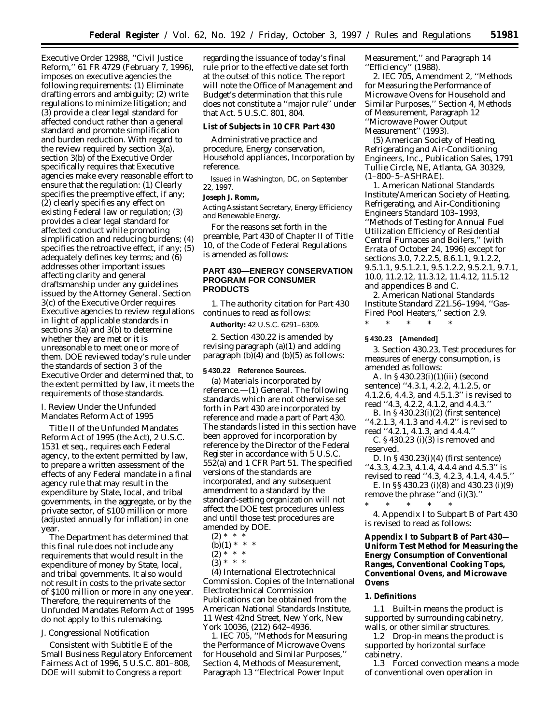Executive Order 12988, ''Civil Justice Reform,'' 61 FR 4729 (February 7, 1996), imposes on executive agencies the following requirements: (1) Eliminate drafting errors and ambiguity; (2) write regulations to minimize litigation; and (3) provide a clear legal standard for affected conduct rather than a general standard and promote simplification and burden reduction. With regard to the review required by section 3(a), section 3(b) of the Executive Order specifically requires that Executive agencies make every reasonable effort to ensure that the regulation: (1) Clearly specifies the preemptive effect, if any; (2) clearly specifies any effect on existing Federal law or regulation; (3) provides a clear legal standard for affected conduct while promoting simplification and reducing burdens; (4) specifies the retroactive effect, if any; (5) adequately defines key terms; and (6) addresses other important issues affecting clarity and general draftsmanship under any guidelines issued by the Attorney General. Section 3(c) of the Executive Order requires Executive agencies to review regulations in light of applicable standards in sections 3(a) and 3(b) to determine whether they are met or it is unreasonable to meet one or more of them. DOE reviewed today's rule under the standards of section 3 of the Executive Order and determined that, to the extent permitted by law, it meets the requirements of those standards.

## *I. Review Under the Unfunded Mandates Reform Act of 1995*

Title II of the Unfunded Mandates Reform Act of 1995 (the Act), 2 U.S.C. 1531 *et seq.,* requires each Federal agency, to the extent permitted by law, to prepare a written assessment of the effects of any Federal mandate in a final agency rule that may result in the expenditure by State, local, and tribal governments, in the aggregate, or by the private sector, of \$100 million or more (adjusted annually for inflation) in one year.

The Department has determined that this final rule does not include any requirements that would result in the expenditure of money by State, local, and tribal governments. It also would not result in costs to the private sector of \$100 million or more in any one year. Therefore, the requirements of the Unfunded Mandates Reform Act of 1995 do not apply to this rulemaking.

#### *J. Congressional Notification*

Consistent with Subtitle E of the Small Business Regulatory Enforcement Fairness Act of 1996, 5 U.S.C. 801–808, DOE will submit to Congress a report

regarding the issuance of today's final rule prior to the effective date set forth at the outset of this notice. The report will note the Office of Management and Budget's determination that this rule does not constitute a ''major rule'' under that Act. 5 U.S.C. 801, 804.

#### **List of Subjects in 10 CFR Part 430**

Administrative practice and procedure, Energy conservation, Household appliances, Incorporation by reference.

Issued in Washington, DC, on September 22, 1997.

#### **Joseph J. Romm,**

*Acting Assistant Secretary, Energy Efficiency and Renewable Energy.*

For the reasons set forth in the preamble, Part 430 of Chapter II of Title 10, of the Code of Federal Regulations is amended as follows:

## **PART 430—ENERGY CONSERVATION PROGRAM FOR CONSUMER PRODUCTS**

1. The authority citation for Part 430 continues to read as follows:

**Authority:** 42 U.S.C. 6291–6309.

2. Section 430.22 is amended by revising paragraph (a)(1) and adding paragraph  $(b)(4)$  and  $(b)(5)$  as follows:

#### **§ 430.22 Reference Sources.**

(a) *Materials incorporated by reference.*—(1) *General.* The following standards which are not otherwise set forth in Part 430 are incorporated by reference and made a part of Part 430. The standards listed in this section have been approved for incorporation by reference by the Director of the Federal Register in accordance with 5 U.S.C. 552(a) and 1 CFR Part 51. The specified versions of the standards are incorporated, and any subsequent amendment to a standard by the standard-setting organization will not affect the DOE test procedures unless and until those test procedures are amended by DOE.

- $(2) * *$
- (b)(1) \* \* \*
- $(2) * * * *$
- $(3) * * * *$

(4) International Electrotechnical Commission. Copies of the International Electrotechnical Commission Publications can be obtained from the American National Standards Institute, 11 West 42nd Street, New York, New York 10036, (212) 642–4936.

1. IEC 705, ''Methods for Measuring the Performance of Microwave Ovens for Household and Similar Purposes,'' Section 4, Methods of Measurement, Paragraph 13 ''Electrical Power Input

Measurement,'' and Paragraph 14 ''Efficiency'' (1988).

2. IEC 705, Amendment 2, ''Methods for Measuring the Performance of Microwave Ovens for Household and Similar Purposes,'' Section 4, Methods of Measurement, Paragraph 12 ''Microwave Power Output Measurement'' (1993).

(5) American Society of Heating, Refrigerating and Air-Conditioning Engineers, Inc., Publication Sales, 1791 Tullie Circle, NE, Atlanta, GA 30329, (1–800–5–ASHRAE).

1. American National Standards Institute/American Society of Heating, Refrigerating, and Air-Conditioning Engineers Standard 103–1993, ''Methods of Testing for Annual Fuel Utilization Efficiency of Residential Central Furnaces and Boilers,'' (with Errata of October 24, 1996) except for sections 3.0, 7.2.2.5, 8.6.1.1, 9.1.2.2, 9.5.1.1, 9.5.1.2.1, 9.5.1.2.2, 9.5.2.1, 9.7.1, 10.0, 11.2.12, 11.3.12, 11.4.12, 11.5.12 and appendices B and C.

2. American National Standards Institute Standard Z21.56–1994, ''Gas-Fired Pool Heaters,'' section 2.9.

#### **§ 430.23 [Amended]**

\* \* \* \* \*

3. Section 430.23, Test procedures for measures of energy consumption, is amended as follows:

- A. In § 430.23(i)(1)(iii) (second sentence) ''4.3.1, 4.2.2, 4.1.2.5, or 4.1.2.6, 4.4.3, and 4.5.1.3'' is revised to read ''4.3, 4.2.2, 4.1.2, and 4.4.3.''
- B. In § 430.23(i)(2) (first sentence) ''4.2.1.3, 4.1.3 and 4.4.2'' is revised to
- read ''4.2.1, 4.1.3, and 4.4.4.''

C. § 430.23 (i)(3) is removed and reserved.

- D. In § 430.23(i)(4) (first sentence) ''4.3.3, 4.2.3, 4.1.4, 4.4.4 and 4.5.3'' is
- revised to read ''4.3, 4.2.3, 4.1.4, 4.4.5.'' E. In §§ 430.23 (i)(8) and 430.23 (i)(9)
- remove the phrase ''and (i)(3).'' \* \* \* \* \*

4. Appendix I to Subpart B of Part 430 is revised to read as follows:

## **Appendix I to Subpart B of Part 430— Uniform Test Method for Measuring the Energy Consumption of Conventional Ranges, Conventional Cooking Tops, Conventional Ovens, and Microwave Ovens**

## **1. Definitions**

1.1 *Built-in* means the product is supported by surrounding cabinetry, walls, or other similar structures.

1.2 *Drop-in* means the product is supported by horizontal surface cabinetry.

1.3 *Forced convection* means a mode of conventional oven operation in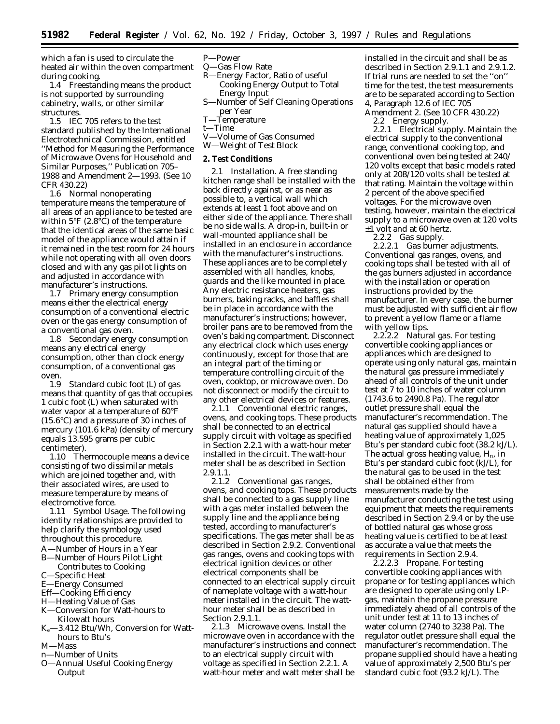which a fan is used to circulate the heated air within the oven compartment during cooking.

1.4 *Freestanding* means the product is not supported by surrounding cabinetry, walls, or other similar structures.

1.5 *IEC 705* refers to the test standard published by the International Electrotechnical Commission, entitled ''Method for Measuring the Performance of Microwave Ovens for Household and Similar Purposes,'' Publication 705– 1988 and Amendment 2—1993. (See 10 CFR 430.22)

1.6 *Normal nonoperating temperature* means the temperature of all areas of an appliance to be tested are within  $5^{\circ}F$  (2.8 $^{\circ}C$ ) of the temperature that the identical areas of the same basic model of the appliance would attain if it remained in the test room for 24 hours while not operating with all oven doors closed and with any gas pilot lights on and adjusted in accordance with manufacturer's instructions.

1.7 *Primary energy consumption* means either the electrical energy consumption of a conventional electric oven or the gas energy consumption of a conventional gas oven.

1.8 *Secondary energy consumption* means any electrical energy consumption, other than clock energy consumption, of a conventional gas oven.

1.9 *Standard cubic foot (L) of gas* means that quantity of gas that occupies 1 cubic foot (L) when saturated with water vapor at a temperature of 60°F (15.6°C) and a pressure of 30 inches of mercury (101.6 kPa) (density of mercury equals 13.595 grams per cubic centimeter).

1.10 *Thermocouple* means a device consisting of two dissimilar metals which are joined together and, with their associated wires, are used to measure temperature by means of electromotive force.

1.11 *Symbol Usage.* The following identity relationships are provided to help clarify the symbology used throughout this procedure.

- A—Number of Hours in a Year
- B—Number of Hours Pilot Light Contributes to Cooking
- C—Specific Heat
- E—Energy Consumed
- Eff—Cooking Efficiency
- H—Heating Value of Gas
- K—Conversion for Watt-hours to Kilowatt hours
- Ke—3.412 Btu/Wh, Conversion for Watthours to Btu's
- M—Mass
- n—Number of Units
- O—Annual Useful Cooking Energy **Output**
- P—Power
- Q—Gas Flow Rate<br>R—Energy Factor
- -Energy Factor, Ratio of useful Cooking Energy Output to Total Energy Input
- S—Number of Self Cleaning Operations per Year
- T—Temperature
- t—Time
- V—Volume of Gas Consumed
- W—Weight of Test Block

#### **2. Test Conditions**

2.1 *Installation.* A free standing kitchen range shall be installed with the back directly against, or as near as possible to, a vertical wall which extends at least 1 foot above and on either side of the appliance. There shall be no side walls. A drop-in, built-in or wall-mounted appliance shall be installed in an enclosure in accordance with the manufacturer's instructions. These appliances are to be completely assembled with all handles, knobs, guards and the like mounted in place. Any electric resistance heaters, gas burners, baking racks, and baffles shall be in place in accordance with the manufacturer's instructions; however, broiler pans are to be removed from the oven's baking compartment. Disconnect any electrical clock which uses energy continuously, except for those that are an integral part of the timing or temperature controlling circuit of the oven, cooktop, or microwave oven. Do not disconnect or modify the circuit to any other electrical devices or features.

2.1.1 *Conventional electric ranges, ovens, and cooking tops.* These products shall be connected to an electrical supply circuit with voltage as specified in Section 2.2.1 with a watt-hour meter installed in the circuit. The watt-hour meter shall be as described in Section 2.9.1.1.

2.1.2 *Conventional gas ranges, ovens, and cooking tops.* These products shall be connected to a gas supply line with a gas meter installed between the supply line and the appliance being tested, according to manufacturer's specifications. The gas meter shall be as described in Section 2.9.2. Conventional gas ranges, ovens and cooking tops with electrical ignition devices or other electrical components shall be connected to an electrical supply circuit of nameplate voltage with a watt-hour meter installed in the circuit. The watthour meter shall be as described in Section 2.9.1.1.

2.1.3 *Microwave ovens.* Install the microwave oven in accordance with the manufacturer's instructions and connect to an electrical supply circuit with voltage as specified in Section 2.2.1. A watt-hour meter and watt meter shall be

installed in the circuit and shall be as described in Section 2.9.1.1 and 2.9.1.2. If trial runs are needed to set the ''on'' time for the test, the test measurements are to be separated according to Section 4, Paragraph 12.6 of IEC 705

Amendment 2. (See 10 CFR 430.22) 2.2 *Energy supply.*

2.2.1 *Electrical supply.* Maintain the electrical supply to the conventional range, conventional cooking top, and conventional oven being tested at 240/ 120 volts except that basic models rated only at 208/120 volts shall be tested at that rating. Maintain the voltage within 2 percent of the above specified voltages. For the microwave oven testing, however, maintain the electrical supply to a microwave oven at 120 volts ±1 volt and at 60 hertz.

2.2.2 *Gas supply.*

2.2.2.1 *Gas burner adjustments.* Conventional gas ranges, ovens, and cooking tops shall be tested with all of the gas burners adjusted in accordance with the installation or operation instructions provided by the manufacturer. In every case, the burner must be adjusted with sufficient air flow to prevent a yellow flame or a flame with yellow tips.

2.2.2.2 *Natural gas.* For testing convertible cooking appliances or appliances which are designed to operate using only natural gas, maintain the natural gas pressure immediately ahead of all controls of the unit under test at 7 to 10 inches of water column (1743.6 to 2490.8 Pa). The regulator outlet pressure shall equal the manufacturer's recommendation. The natural gas supplied should have a heating value of approximately 1,025 Btu's per standard cubic foot (38.2 kJ/L). The actual gross heating value,  $H_n$ , in Btu's per standard cubic foot (kJ/L), for the natural gas to be used in the test shall be obtained either from measurements made by the manufacturer conducting the test using equipment that meets the requirements described in Section 2.9.4 or by the use of bottled natural gas whose gross heating value is certified to be at least as accurate a value that meets the requirements in Section 2.9.4.

2.2.2.3 *Propane.* For testing convertible cooking appliances with propane or for testing appliances which are designed to operate using only LPgas, maintain the propane pressure immediately ahead of all controls of the unit under test at 11 to 13 inches of water column (2740 to 3238 Pa). The regulator outlet pressure shall equal the manufacturer's recommendation. The propane supplied should have a heating value of approximately 2,500 Btu's per standard cubic foot (93.2 kJ/L). The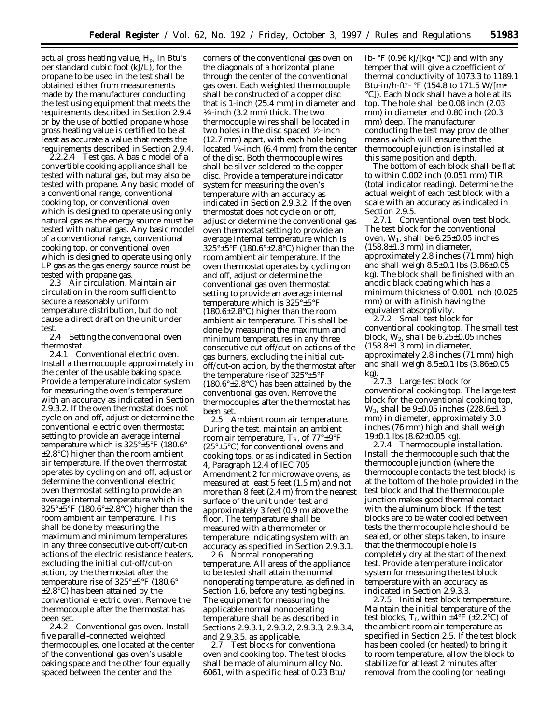actual gross heating value, H<sub>p</sub>, in Btu's per standard cubic foot (kJ/L), for the propane to be used in the test shall be obtained either from measurements made by the manufacturer conducting the test using equipment that meets the requirements described in Section 2.9.4 or by the use of bottled propane whose gross heating value is certified to be at least as accurate a value that meets the requirements described in Section 2.9.4.

2.2.2.4 *Test gas.* A basic model of a convertible cooking appliance shall be tested with natural gas, but may also be tested with propane. Any basic model of a conventional range, conventional cooking top, or conventional oven which is designed to operate using only natural gas as the energy source must be tested with natural gas. Any basic model of a conventional range, conventional cooking top, or conventional oven which is designed to operate using only LP gas as the gas energy source must be tested with propane gas.

2.3 *Air circulation.* Maintain air circulation in the room sufficient to secure a reasonably uniform temperature distribution, but do not cause a direct draft on the unit under test.<br> $2.4$ 

2.4 *Setting the conventional oven thermostat.*

2.4.1 *Conventional electric oven.* Install a thermocouple approximately in the center of the usable baking space. Provide a temperature indicator system for measuring the oven's temperature with an accuracy as indicated in Section 2.9.3.2. If the oven thermostat does not cycle on and off, adjust or determine the conventional electric oven thermostat setting to provide an average internal temperature which is 325°±5°F (180.6°  $\pm 2.8$ °C) higher than the room ambient air temperature. If the oven thermostat operates by cycling on and off, adjust or determine the conventional electric oven thermostat setting to provide an average internal temperature which is 325°±5°F (180.6°±2.8°C) higher than the room ambient air temperature. This shall be done by measuring the maximum and minimum temperatures in any three consecutive cut-off/cut-on actions of the electric resistance heaters, excluding the initial cut-off/cut-on action, by the thermostat after the temperature rise of 325°±5°F (180.6° ±2.8°C) has been attained by the conventional electric oven. Remove the thermocouple after the thermostat has been set.

2.4.2 *Conventional gas oven.* Install five parallel-connected weighted thermocouples, one located at the center of the conventional gas oven's usable baking space and the other four equally spaced between the center and the

corners of the conventional gas oven on the diagonals of a horizontal plane through the center of the conventional gas oven. Each weighted thermocouple shall be constructed of a copper disc that is 1-inch (25.4 mm) in diameter and 1⁄8-inch (3.2 mm) thick. The two thermocouple wires shall be located in two holes in the disc spaced 1⁄2-inch (12.7 mm) apart, with each hole being located 1⁄4-inch (6.4 mm) from the center of the disc. Both thermocouple wires shall be silver-soldered to the copper disc. Provide a temperature indicator system for measuring the oven's temperature with an accuracy as indicated in Section 2.9.3.2. If the oven thermostat does not cycle on or off, adjust or determine the conventional gas oven thermostat setting to provide an average internal temperature which is 325°±5°F (180.6°±2.8°C) higher than the room ambient air temperature. If the oven thermostat operates by cycling on and off, adjust or determine the conventional gas oven thermostat setting to provide an average internal temperature which is 325°±5°F (180.6±2.8°C) higher than the room ambient air temperature. This shall be done by measuring the maximum and minimum temperatures in any three consecutive cut-off/cut-on actions of the gas burners, excluding the initial cutoff/cut-on action, by the thermostat after the temperature rise of 325°±5°F  $(180.6^{\circ} \pm 2.8^{\circ} \text{C})$  has been attained by the conventional gas oven. Remove the thermocouples after the thermostat has been set.

2.5 *Ambient room air temperature.* During the test, maintain an ambient room air temperature,  $T_R$ , of  $77^\circ \pm 9^\circ F$ (25 $\degree$ ±5 $\degree$ C) for conventional ovens and cooking tops, or as indicated in Section 4, Paragraph 12.4 of IEC 705 Amendment 2 for microwave ovens, as measured at least 5 feet (1.5 m) and not more than 8 feet (2.4 m) from the nearest surface of the unit under test and approximately 3 feet (0.9 m) above the floor. The temperature shall be measured with a thermometer or temperature indicating system with an accuracy as specified in Section 2.9.3.1.

2.6 *Normal nonoperating temperature.* All areas of the appliance to be tested shall attain the normal nonoperating temperature, as defined in Section 1.6, before any testing begins. The equipment for measuring the applicable normal nonoperating temperature shall be as described in Sections 2.9.3.1, 2.9.3.2, 2.9.3.3, 2.9.3.4, and 2.9.3.5, as applicable.

2.7 *Test blocks for conventional oven and cooking top.* The test blocks shall be made of aluminum alloy No. 6061, with a specific heat of 0.23 Btu/ lb-  $\mathrm{P}F$  (0.96 kJ/[kg $\bullet \mathrm{P}C$ ]) and with any temper that will give a czoefficient of thermal conductivity of 1073.3 to 1189.1 Btu-in/h-ft2- °F (154.8 to 171.5 W/[m• °C]). Each block shall have a hole at its top. The hole shall be 0.08 inch (2.03 mm) in diameter and 0.80 inch (20.3 mm) deep. The manufacturer conducting the test may provide other means which will ensure that the thermocouple junction is installed at this same position and depth.

The bottom of each block shall be flat to within 0.002 inch (0.051 mm) TIR (total indicator reading). Determine the actual weight of each test block with a scale with an accuracy as indicated in Section 2.9.5.

2.7.1 *Conventional oven test block.* The test block for the conventional oven,  $W_1$ , shall be  $6.25\pm0.05$  inches  $(158.8\pm1.3 \text{ mm})$  in diameter, approximately 2.8 inches (71 mm) high and shall weigh 8.5±0.1 lbs (3.86±0.05 kg). The block shall be finished with an anodic black coating which has a minimum thickness of 0.001 inch (0.025 mm) or with a finish having the equivalent absorptivity.

2.7.2 *Small test block for conventional cooking top.* The small test block,  $W_2$ , shall be  $6.25 \pm 0.05$  inches  $(158.8\pm1.3 \text{ mm})$  in diameter, approximately 2.8 inches (71 mm) high and shall weigh 8.5±0.1 lbs (3.86±0.05 kg).

2.7.3 *Large test block for conventional cooking top.* The large test block for the conventional cooking top, W3, shall be 9±0.05 inches (228.6±1.3 mm) in diameter, approximately 3.0 inches (76 mm) high and shall weigh  $19\pm0.1$  lbs  $(8.62\pm0.05 \text{ kg})$ .

2.7.4 *Thermocouple installation.* Install the thermocouple such that the thermocouple junction (where the thermocouple contacts the test block) is at the bottom of the hole provided in the test block and that the thermocouple junction makes good thermal contact with the aluminum block. If the test blocks are to be water cooled between tests the thermocouple hole should be sealed, or other steps taken, to insure that the thermocouple hole is completely dry at the start of the next test. Provide a temperature indicator system for measuring the test block temperature with an accuracy as indicated in Section 2.9.3.3.

2.7.5 *Initial test block temperature.* Maintain the initial temperature of the test blocks,  $T_I$ , within  $\pm 4^\circ F$  ( $\pm 2.2^\circ C$ ) of the ambient room air temperature as specified in Section 2.5. If the test block has been cooled (or heated) to bring it to room temperature, allow the block to stabilize for at least 2 minutes after removal from the cooling (or heating)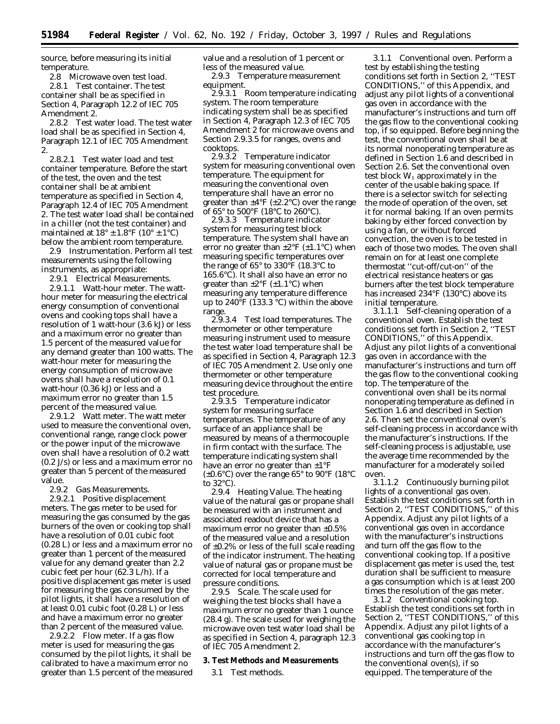source, before measuring its initial temperature.

2.8 *Microwave oven test load.* 2.8.1 *Test container.* The test container shall be as specified in Section 4, Paragraph 12.2 of IEC 705 Amendment 2.

2.8.2 *Test water load.* The test water load shall be as specified in Section 4, Paragraph 12.1 of IEC 705 Amendment 2.

2.8.2.1 *Test water load and test container temperature.* Before the start of the test, the oven and the test container shall be at ambient temperature as specified in Section 4, Paragraph 12.4 of IEC 705 Amendment 2. The test water load shall be contained in a chiller (not the test container) and maintained at  $18^{\circ} \pm 1.8^{\circ}$ F ( $10^{\circ} \pm 1^{\circ}$ C) below the ambient room temperature.

2.9 *Instrumentation.* Perform all test measurements using the following instruments, as appropriate:

2.9.1 *Electrical Measurements.*

2.9.1.1 *Watt-hour meter.* The watthour meter for measuring the electrical energy consumption of conventional ovens and cooking tops shall have a resolution of 1 watt-hour (3.6 kJ) or less and a maximum error no greater than 1.5 percent of the measured value for any demand greater than 100 watts. The watt-hour meter for measuring the energy consumption of microwave ovens shall have a resolution of 0.1 watt-hour (0.36 kJ) or less and a maximum error no greater than 1.5 percent of the measured value.

2.9.1.2 *Watt meter.* The watt meter used to measure the conventional oven, conventional range, range clock power or the power input of the microwave oven shall have a resolution of 0.2 watt (0.2 J/s) or less and a maximum error no greater than 5 percent of the measured value.

2.9.2 *Gas Measurements.*

2.9.2.1 *Positive displacement meters.* The gas meter to be used for measuring the gas consumed by the gas burners of the oven or cooking top shall have a resolution of 0.01 cubic foot (0.28 L) or less and a maximum error no greater than 1 percent of the measured value for any demand greater than 2.2 cubic feet per hour (62.3 L/h). If a positive displacement gas meter is used for measuring the gas consumed by the pilot lights, it shall have a resolution of at least 0.01 cubic foot (0.28 L) or less and have a maximum error no greater than 2 percent of the measured value.

2.9.2.2 *Flow meter.* If a gas flow meter is used for measuring the gas consumed by the pilot lights, it shall be calibrated to have a maximum error no greater than 1.5 percent of the measured value and a resolution of 1 percent or less of the measured value.

2.9.3 *Temperature measurement equipment.*

2.9.3.1 *Room temperature indicating system.* The room temperature indicating system shall be as specified in Section 4, Paragraph 12.3 of IEC 705 Amendment 2 for microwave ovens and Section 2.9.3.5 for ranges, ovens and cooktops.

2.9.3.2 *Temperature indicator system for measuring conventional oven temperature.* The equipment for measuring the conventional oven temperature shall have an error no greater than  $\pm 4^{\circ}$ F ( $\pm 2.2^{\circ}$ C) over the range of 65° to 500°F (18°C to 260°C).

2.9.3.3 *Temperature indicator system for measuring test block temperature.* The system shall have an error no greater than  $\pm 2^{\circ}F (\pm 1.1^{\circ}C)$  when measuring specific temperatures over the range of 65° to 330°F (18.3°C to 165.6°C). It shall also have an error no greater than  $\pm 2^{\circ}F (\pm 1.1^{\circ}C)$  when measuring any temperature difference up to  $240^{\circ}$ F (133.3  $^{\circ}$ C) within the above range.

2.9.3.4 *Test load temperatures.* The thermometer or other temperature measuring instrument used to measure the test water load temperature shall be as specified in Section 4, Paragraph 12.3 of IEC 705 Amendment 2. Use only one thermometer or other temperature measuring device throughout the entire test procedure.

2.9.3.5 *Temperature indicator system for measuring surface temperatures.* The temperature of any surface of an appliance shall be measured by means of a thermocouple in firm contact with the surface. The temperature indicating system shall have an error no greater than  $\pm 1^{\circ}$ F ( $\pm 0.6$ °C) over the range 65° to 90°F (18°C to 32°C).

2.9.4 *Heating Value.* The heating value of the natural gas or propane shall be measured with an instrument and associated readout device that has a maximum error no greater than  $\pm 0.5\%$ of the measured value and a resolution of ±0.2% or less of the full scale reading of the indicator instrument. The heating value of natural gas or propane must be corrected for local temperature and pressure conditions.

2.9.5 *Scale.* The scale used for weighing the test blocks shall have a maximum error no greater than 1 ounce (28.4 g). The scale used for weighing the microwave oven test water load shall be as specified in Section 4, paragraph 12.3 of IEC 705 Amendment 2.

## **3. Test Methods and Measurements**

3.1 *Test methods.*

3.1.1 *Conventional oven.* Perform a test by establishing the testing conditions set forth in Section 2, ''TEST CONDITIONS,'' of this Appendix, and adjust any pilot lights of a conventional gas oven in accordance with the manufacturer's instructions and turn off the gas flow to the conventional cooking top, if so equipped. Before beginning the test, the conventional oven shall be at its normal nonoperating temperature as defined in Section 1.6 and described in Section 2.6. Set the conventional oven test block  $W_1$  approximately in the center of the usable baking space. If there is a selector switch for selecting the mode of operation of the oven, set it for normal baking. If an oven permits baking by either forced convection by using a fan, or without forced convection, the oven is to be tested in each of those two modes. The oven shall remain on for at least one complete thermostat ''cut-off/cut-on'' of the electrical resistance heaters or gas burners after the test block temperature has increased 234°F (130°C) above its initial temperature.

3.1.1.1 *Self-cleaning operation of a conventional oven.* Establish the test conditions set forth in Section 2, ''TEST CONDITIONS,'' of this Appendix. Adjust any pilot lights of a conventional gas oven in accordance with the manufacturer's instructions and turn off the gas flow to the conventional cooking top. The temperature of the conventional oven shall be its normal nonoperating temperature as defined in Section 1.6 and described in Section 2.6. Then set the conventional oven's self-cleaning process in accordance with the manufacturer's instructions. If the self-cleaning process is adjustable, use the average time recommended by the manufacturer for a moderately soiled oven.

3.1.1.2 *Continuously burning pilot lights of a conventional gas oven.* Establish the test conditions set forth in Section 2, ''TEST CONDITIONS,'' of this Appendix. Adjust any pilot lights of a conventional gas oven in accordance with the manufacturer's instructions and turn off the gas flow to the conventional cooking top. If a positive displacement gas meter is used the, test duration shall be sufficient to measure a gas consumption which is at least 200 times the resolution of the gas meter.

3.1.2 *Conventional cooking top.* Establish the test conditions set forth in Section 2, ''TEST CONDITIONS,'' of this Appendix. Adjust any pilot lights of a conventional gas cooking top in accordance with the manufacturer's instructions and turn off the gas flow to the conventional oven(s), if so equipped. The temperature of the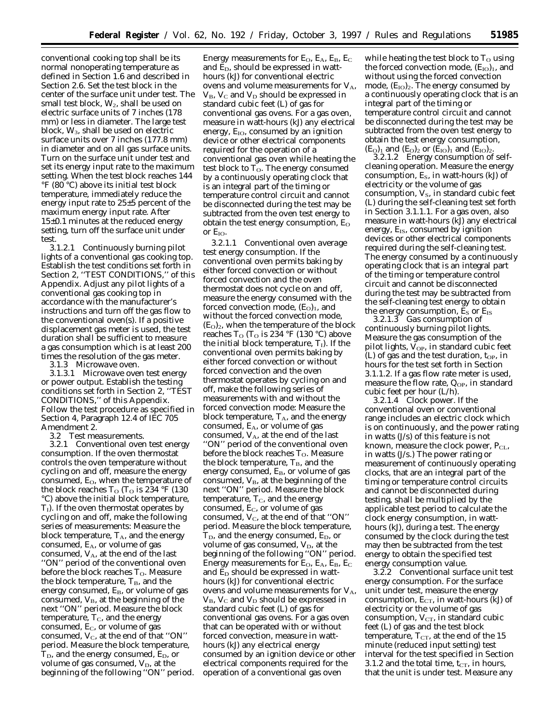conventional cooking top shall be its normal nonoperating temperature as defined in Section 1.6 and described in Section 2.6. Set the test block in the center of the surface unit under test. The small test block,  $W_2$ , shall be used on electric surface units of 7 inches (178 mm) or less in diameter. The large test block,  $W_3$ , shall be used on electric surface units over 7 inches (177.8 mm) in diameter and on all gas surface units. Turn on the surface unit under test and set its energy input rate to the maximum setting. When the test block reaches 144 °F (80 °C) above its initial test block temperature, immediately reduce the energy input rate to 25±5 percent of the maximum energy input rate. After 15±0.1 minutes at the reduced energy setting, turn off the surface unit under test.

3.1.2.1 *Continuously burning pilot lights of a conventional gas cooking top.* Establish the test conditions set forth in Section 2, ''TEST CONDITIONS,'' of this Appendix. Adjust any pilot lights of a conventional gas cooking top in accordance with the manufacturer's instructions and turn off the gas flow to the conventional oven(s). If a positive displacement gas meter is used, the test duration shall be sufficient to measure a gas consumption which is at least 200 times the resolution of the gas meter.

3.1.3 *Microwave oven.*

3.1.3.1 *Microwave oven test energy or power output.* Establish the testing conditions set forth in Section 2, ''TEST CONDITIONS,'' of this Appendix. Follow the test procedure as specified in Section 4, Paragraph 12.4 of IEC 705 Amendment 2.

3.2 *Test measurements.*

3.2.1 *Conventional oven test energy consumption.* If the oven thermostat controls the oven temperature without cycling on and off, measure the energy consumed, E<sub>O</sub>, when the temperature of the block reaches  $T_{\rm O}$  ( $T_{\rm O}$  is 234 °F (130) °C) above the initial block temperature,  $T_I$ ). If the oven thermostat operates by cycling on and off, make the following series of measurements: Measure the block temperature,  $T_A$ , and the energy consumed, E<sub>A</sub>, or volume of gas consumed,  $V_A$ , at the end of the last ''ON'' period of the conventional oven before the block reaches To. Measure the block temperature,  $T_B$ , and the energy consumed,  $E_B$ , or volume of gas consumed,  $V_{\text{B}}$ , at the beginning of the next ''ON'' period. Measure the block temperature,  $T_c$ , and the energy consumed,  $E_C$ , or volume of gas consumed,  $V_C$ , at the end of that "ON" period. Measure the block temperature,  $T_D$ , and the energy consumed,  $E_D$ , or volume of gas consumed,  $V_D$ , at the beginning of the following ''ON'' period.

Energy measurements for E<sub>O</sub>, E<sub>A</sub>, E<sub>B</sub>, E<sub>C</sub> and  $E_D$ , should be expressed in watthours (kJ) for conventional electric ovens and volume measurements for  $V_A$ ,  $V_{\rm B}$ ,  $V_{\rm C}$  and  $V_{\rm D}$  should be expressed in standard cubic feet (L) of gas for conventional gas ovens. For a gas oven, measure in watt-hours (kJ) any electrical energy,  $E_{IO}$ , consumed by an ignition device or other electrical components required for the operation of a conventional gas oven while heating the test block to  $T<sub>O</sub>$ . The energy consumed by a continuously operating clock that is an integral part of the timing or temperature control circuit and cannot be disconnected during the test may be subtracted from the oven test energy to obtain the test energy consumption,  $E_{O}$ or  $E_{IO}$ .

3.2.1.1 *Conventional oven average test energy consumption.* If the conventional oven permits baking by either forced convection or without forced convection and the oven thermostat does not cycle on and off, measure the energy consumed with the forced convection mode,  $(E<sub>O</sub>)<sub>1</sub>$ , and without the forced convection mode,  $(E<sub>O</sub>)<sub>2</sub>$ , when the temperature of the block reaches  $T_{\rm O}$  ( $T_{\rm O}$  is 234 °F (130 °C) above the initial block temperature,  $T_I$ ). If the conventional oven permits baking by either forced convection or without forced convection and the oven thermostat operates by cycling on and off, make the following series of measurements with and without the forced convection mode: Measure the block temperature,  $T_A$ , and the energy consumed, EA, or volume of gas consumed,  $V_A$ , at the end of the last ''ON'' period of the conventional oven before the block reaches  $T<sub>O</sub>$ . Measure the block temperature,  $T_B$ , and the energy consumed,  $E_B$ , or volume of gas consumed,  $V_B$ , at the beginning of the next ''ON'' period. Measure the block temperature,  $T_{C}$ , and the energy consumed,  $E_C$ , or volume of gas consumed,  $V_C$ , at the end of that "ON" period. Measure the block temperature,  $T_D$ , and the energy consumed,  $E_D$ , or volume of gas consumed,  $V_D$ , at the beginning of the following ''ON'' period. Energy measurements for  $E_O$ ,  $E_A$ ,  $E_B$ ,  $E_C$ and  $\widetilde{E}_D$  should be expressed in watthours (kJ) for conventional electric ovens and volume measurements for  $V_A$ ,  $V_{B}$ ,  $V_{C}$  and  $V_{D}$  should be expressed in standard cubic feet (L) of gas for conventional gas ovens. For a gas oven that can be operated with or without forced convection, measure in watthours (kJ) any electrical energy consumed by an ignition device or other electrical components required for the operation of a conventional gas oven

while heating the test block to  $T<sub>O</sub>$  using the forced convection mode,  $(E_{IO})_1$ , and without using the forced convection mode,  $(E_{IO})_2$ . The energy consumed by a continuously operating clock that is an integral part of the timing or temperature control circuit and cannot be disconnected during the test may be subtracted from the oven test energy to obtain the test energy consumption,  $(E<sub>O</sub>)<sub>1</sub>$  and  $(E<sub>O</sub>)<sub>2</sub>$  or  $(E<sub>IO</sub>)<sub>1</sub>$  and  $(E<sub>IO</sub>)<sub>2</sub>$ .

3.2.1.2 *Energy consumption of selfcleaning operation.* Measure the energy consumption,  $E_s$ , in watt-hours (kJ) of electricity or the volume of gas consumption,  $V_s$ , in standard cubic feet (L) during the self-cleaning test set forth in Section 3.1.1.1. For a gas oven, also measure in watt-hours (kJ) any electrical energy, E<sub>IS</sub>, consumed by ignition devices or other electrical components required during the self-cleaning test. The energy consumed by a continuously operating clock that is an integral part of the timing or temperature control circuit and cannot be disconnected during the test may be subtracted from the self-cleaning test energy to obtain the energy consumption,  $\overline{E}_S$  or  $E_{IS}$ 

3.2.1.3 *Gas consumption of continuously burning pilot lights.* Measure the gas consumption of the pilot lights,  $V_{OP}$ , in standard cubic feet (L) of gas and the test duration,  $t_{OP}$ , in hours for the test set forth in Section 3.1.1.2. If a gas flow rate meter is used, measure the flow rate,  $Q_{OP}$ , in standard cubic feet per hour (L/h).

3.2.1.4 *Clock power.* If the conventional oven or conventional range includes an electric clock which is on continuously, and the power rating in watts (J/s) of this feature is not known, measure the clock power,  $P_{CL}$ , in watts (J/s.) The power rating or measurement of continuously operating clocks, that are an integral part of the timing or temperature control circuits and cannot be disconnected during testing, shall be multiplied by the applicable test period to calculate the clock energy consumption, in watthours (kJ), during a test. The energy consumed by the clock during the test may then be subtracted from the test energy to obtain the specified test energy consumption value.

3.2.2 *Conventional surface unit test energy consumption.* For the surface unit under test, measure the energy consumption,  $E_{CT}$ , in watt-hours (kJ) of electricity or the volume of gas consumption,  $V_{CT}$ , in standard cubic feet (L) of gas and the test block temperature,  $T_{CT}$ , at the end of the 15 minute (reduced input setting) test interval for the test specified in Section 3.1.2 and the total time,  $t_{CT}$ , in hours, that the unit is under test. Measure any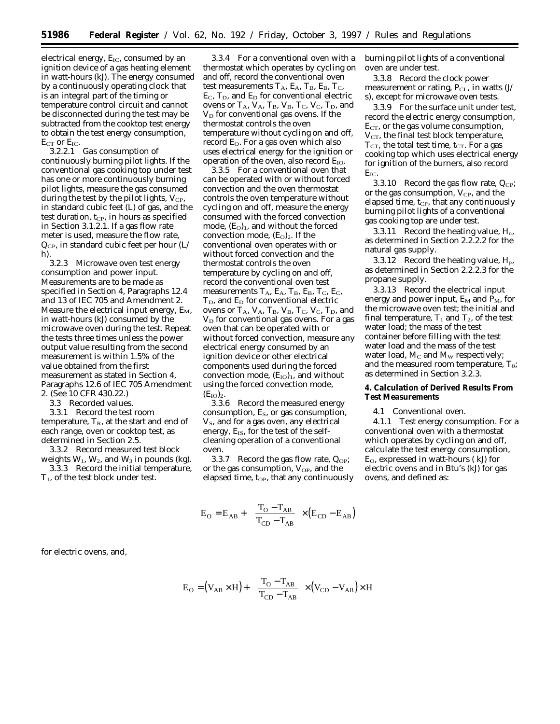electrical energy,  $E_{IC}$ , consumed by an ignition device of a gas heating element in watt-hours (kJ). The energy consumed by a continuously operating clock that is an integral part of the timing or temperature control circuit and cannot be disconnected during the test may be subtracted from the cooktop test energy to obtain the test energy consumption,  $E_{CT}$  or  $E_{IC}$ .<br>3.2.2.1

3.2.2.1 *Gas consumption of continuously burning pilot lights.* If the conventional gas cooking top under test has one or more continuously burning pilot lights, measure the gas consumed during the test by the pilot lights,  $V_{CP}$ , in standard cubic feet (L) of gas, and the test duration,  $t_{CP}$ , in hours as specified in Section 3.1.2.1. If a gas flow rate meter is used, measure the flow rate, QCP, in standard cubic feet per hour (L/ h).

3.2.3 *Microwave oven test energy consumption and power input.* Measurements are to be made as specified in Section 4, Paragraphs 12.4 and 13 of IEC 705 and Amendment 2. Measure the electrical input energy,  $E_M$ , in watt-hours (kJ) consumed by the microwave oven during the test. Repeat the tests three times unless the power output value resulting from the second measurement is within 1.5% of the value obtained from the first measurement as stated in Section 4, Paragraphs 12.6 of IEC 705 Amendment 2. (See 10 CFR 430.22.)

3.3 *Recorded values.*

3.3.1 Record the test room temperature,  $T_R$ , at the start and end of each range, oven or cooktop test, as determined in Section 2.5.

3.3.2 Record measured test block weights  $W_1$ ,  $W_2$ , and  $W_3$  in pounds (kg). 3.3.3 Record the initial temperature,

 $T_1$ , of the test block under test.

3.3.4 For a conventional oven with a thermostat which operates by cycling on and off, record the conventional oven test measurements  $T_A$ ,  $E_A$ ,  $T_B$ ,  $E_B$ ,  $T_C$ ,  $E_C$ ,  $T_D$ , and  $E_D$  for conventional electric ovens or  $T_A$ ,  $V_A$ ,  $T_B$ ,  $V_B$ ,  $T_C$ ,  $V_C$ ,  $T_D$ , and  $V_D$  for conventional gas ovens. If the thermostat controls the oven temperature without cycling on and off, record  $E<sub>O</sub>$ . For a gas oven which also uses electrical energy for the ignition or operation of the oven, also record  $E_{IO}$ .

3.3.5 For a conventional oven that can be operated with or without forced convection and the oven thermostat controls the oven temperature without cycling on and off, measure the energy consumed with the forced convection mode,  $(E<sub>O</sub>)<sub>1</sub>$ , and without the forced convection mode,  $(E_0)_2$ . If the conventional oven operates with or without forced convection and the thermostat controls the oven temperature by cycling on and off, record the conventional oven test measurements  $T_A$ ,  $E_A$ ,  $T_B$ ,  $E_B$ ,  $T_C$ ,  $E_C$ ,  $T_D$ , and  $E_D$  for conventional electric ovens or  $T_A$ ,  $V_A$ ,  $T_B$ ,  $V_B$ ,  $T_C$ ,  $V_C$ ,  $T_D$ , and  $V<sub>D</sub>$  for conventional gas ovens. For a gas oven that can be operated with or without forced convection, measure any electrical energy consumed by an ignition device or other electrical components used during the forced convection mode,  $(E_{IO})_1$ , and without using the forced convection mode,  $(E_{IO})_2.$ 

3.3.6 Record the measured energy consumption,  $E_s$ , or gas consumption,  $V<sub>S</sub>$ , and for a gas oven, any electrical energy,  $E_{IS}$ , for the test of the selfcleaning operation of a conventional oven.

3.3.7 Record the gas flow rate,  $Q_{OP}$ ; or the gas consumption,  $V_{OP}$ , and the elapsed time,  $t_{OP}$ , that any continuously

$$
E_{\rm O} = E_{\rm AB} + \left[ \left( \frac{T_{\rm O} - T_{\rm AB}}{T_{\rm CD} - T_{\rm AB}} \right) \times (E_{\rm CD} - E_{\rm AB}) \right]
$$

burning pilot lights of a conventional oven are under test.

3.3.8 Record the clock power measurement or rating,  $P_{CL}$ , in watts  $(J/$ s), except for microwave oven tests.

3.3.9 For the surface unit under test, record the electric energy consumption,  $E_{CT}$ , or the gas volume consumption,  $V_{CT}$ , the final test block temperature,  $T_{CT}$ , the total test time,  $t_{CT}$ . For a gas cooking top which uses electrical energy for ignition of the burners, also record E<sub>IC</sub>.

3.3.10 Record the gas flow rate,  $Q_{CP}$ ; or the gas consumption,  $V_{CP}$ , and the elapsed time,  $t_{CP}$ , that any continuously burning pilot lights of a conventional gas cooking top are under test.

3.3.11 Record the heating value,  $H_n$ , as determined in Section 2.2.2.2 for the natural gas supply.

3.3.12 Record the heating value,  $H_p$ , as determined in Section 2.2.2.3 for the propane supply.

3.3.13 Record the electrical input energy and power input,  $E_M$  and  $P_M$ , for the microwave oven test; the initial and final temperature,  $T_1$  and  $T_2$ , of the test water load; the mass of the test container before filling with the test water load and the mass of the test water load,  $M_C$  and  $M_W$  respectively; and the measured room temperature,  $T_0$ ; as determined in Section 3.2.3.

## **4. Calculation of Derived Results From Test Measurements**

#### 4.1 *Conventional oven.*

4.1.1 *Test energy consumption.* For a conventional oven with a thermostat which operates by cycling on and off, calculate the test energy consumption, EO, expressed in watt-hours ( kJ) for electric ovens and in Btu's (kJ) for gas ovens, and defined as:

for electric ovens, and,

$$
E_{\rm O} = (V_{AB} \times H) + \left[ \left( \frac{T_{\rm O} - T_{AB}}{T_{\rm CD} - T_{AB}} \right) \times (V_{\rm CD} - V_{AB}) \times H \right]
$$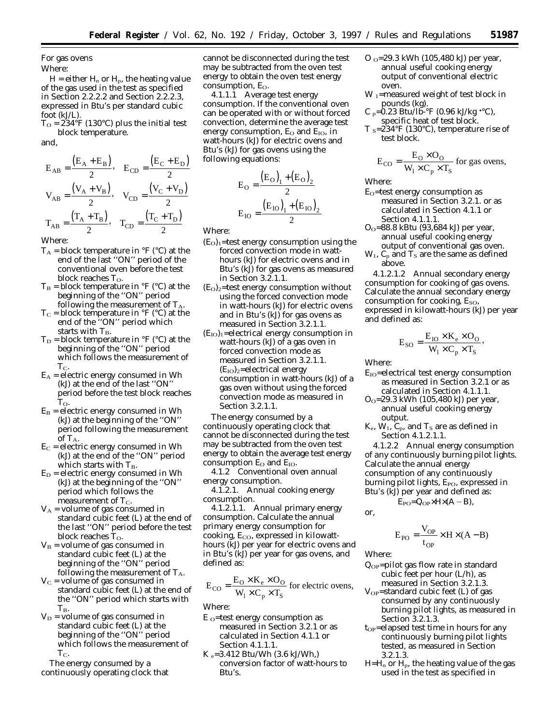For gas ovens Where:

 $H =$  either  $H_n$  or  $H_p$ , the heating value of the gas used in the test as specified in Section 2.2.2.2 and Section 2.2.2.3, expressed in Btu's per standard cubic foot (kJ/L).

 $T_{\rm O} = 234 \, {\rm eF}$  (130°C) plus the initial test block temperature.

and,

$$
E_{AB} = \frac{(E_A + E_B)}{2}, \quad E_{CD} = \frac{(E_C + E_D)}{2}
$$

$$
V_{AB} = \frac{(V_A + V_B)}{2}, \quad V_{CD} = \frac{(V_C + V_D)}{2}
$$

$$
T_{AB} = \frac{(T_A + T_B)}{2}, \quad T_{CD} = \frac{(T_C + T_D)}{2}
$$

Where:

- $T_A$  = block temperature in  ${}^{\circ}$ F ( ${}^{\circ}$ C) at the end of the last ''ON'' period of the conventional oven before the test block reaches To.
- $T_B$  = block temperature in  ${}^{\circ}F$  ( ${}^{\circ}C$ ) at the beginning of the ''ON'' period following the measurement of  $T_A$
- $T_C$  = block temperature in °F (°C) at the end of the ''ON'' period which starts with  $\rm T_{\rm B}.$
- $T_D$  = block temperature in °F (°C) at the beginning of the ''ON'' period which follows the measurement of  $T_{C}$ .
- $E_A$  = electric energy consumed in Wh (kJ) at the end of the last ''ON'' period before the test block reaches  $\rm T_{O}.$
- $E_B$  = electric energy consumed in Wh (kJ) at the beginning of the ''ON'' period following the measurement of  $T_A$ .
- $E_C$  = electric energy consumed in Wh (kJ) at the end of the ''ON'' period which starts with  $T_B$ .
- $E_D$  = electric energy consumed in Wh (kJ) at the beginning of the ''ON'' period which follows the measurement of  $T_{C}$ .
- $V_A$  = volume of gas consumed in standard cubic feet (L) at the end of the last ''ON'' period before the test block reaches  $T<sub>O</sub>$ .
- $V_B$  = volume of gas consumed in standard cubic feet (L) at the beginning of the ''ON'' period following the measurement of  $T_A$ .
- $V<sub>C</sub>$  = volume of gas consumed in standard cubic feet (L) at the end of the ''ON'' period which starts with  $T_B$ .
- $V_D$  = volume of gas consumed in standard cubic feet (L) at the beginning of the ''ON'' period which follows the measurement of  $T_{C}$ .

The energy consumed by a continuously operating clock that cannot be disconnected during the test may be subtracted from the oven test energy to obtain the oven test energy consumption, E<sub>O</sub>.

4.1.1.1 *Average test energy consumption.* If the conventional oven can be operated with or without forced convection, determine the average test energy consumption,  $E_{\rm O}$  and  $E_{\rm IO}$ , in watt-hours (kJ) for electric ovens and Btu's (kJ) for gas ovens using the following equations:

$$
E_O = \frac{(E_O)_1 + (E_O)_2}{2}
$$

$$
E_{IO} = \frac{(E_{IO})_1 + (E_{IO})_2}{2}
$$

Where:

- $(E<sub>O</sub>)<sub>1</sub>$ =test energy consumption using the forced convection mode in watthours (kJ) for electric ovens and in Btu's (kJ) for gas ovens as measured in Section 3.2.1.1.
- $(E<sub>O</sub>)<sub>2</sub>$ =test energy consumption without using the forced convection mode in watt-hours (kJ) for electric ovens and in Btu's (kJ) for gas ovens as measured in Section 3.2.1.1.
- $(E_{IO})_1$ =electrical energy consumption in watt-hours (kJ) of a gas oven in forced convection mode as measured in Section 3.2.1.1.  $(E_{\text{IO}})_{2}$ =electrical energy consumption in watt-hours (kJ) of a gas oven without using the forced convection mode as measured in Section 3.2.1.1.

The energy consumed by a continuously operating clock that cannot be disconnected during the test may be subtracted from the oven test energy to obtain the average test energy consumption  $E_{O}$  and  $E_{IO}$ .

4.1.2 *Conventional oven annual energy consumption.*

4.1.2.1. *Annual cooking energy consumption.*

4.1.2.1.1. *Annual primary energy consumption.* Calculate the annual primary energy consumption for cooking,  $E_{CO}$ , expressed in kilowatthours (kJ) per year for electric ovens and in Btu's (kJ) per year for gas ovens, and defined as:

$$
E_{CO} = \frac{E_O \times K_e \times O_O}{W_1 \times C_p \times T_S}
$$
 for electric ovens,

Where:

- $E_0$ =test energy consumption as measured in Section 3.2.1 or as calculated in Section 4.1.1 or Section 4.1.1.1.
- $K_e = 3.412$  Btu/Wh (3.6 kJ/Wh,) conversion factor of watt-hours to Btu's.
- O O=29.3 kWh (105,480 kJ) per year, annual useful cooking energy output of conventional electric oven.
- $\rm W$   $_{\rm I}$  =measured weight of test block in pounds (kg).
- C <sub>p</sub>=0.23 Btu/lb-°F (0.96 kJ/kg •°C), specific heat of test block.
- T  $s=234^\circ F$  (130°C), temperature rise of test block.

$$
E_{\text{CO}} = \frac{E_{\text{O}} \times O_{\text{O}}}{W_1 \times C_p \times T_S}
$$
 for gas ovens,

Where:

- $E<sub>O</sub>$ =test energy consumption as measured in Section 3.2.1. or as calculated in Section 4.1.1 or Section 4.1.1.1.
- $O<sub>O</sub>=88.8$  kBtu (93,684 kJ) per year, annual useful cooking energy output of conventional gas oven.
- $W_1$ ,  $C_p$  and  $T_s$  are the same as defined above.

4.1.2.1.2 *Annual secondary energy consumption for cooking of gas ovens.* Calculate the annual secondary energy consumption for cooking,  $E_{SO}$ , expressed in kilowatt-hours (kJ) per year and defined as:

$$
E_{SO} = \frac{E_{IO} \times K_e \times O_O}{W_1 \times C_p \times T_S},
$$

Where:

- $E_{IO}$ =electrical test energy consumption as measured in Section 3.2.1 or as calculated in Section 4.1.1.1.
- $O<sub>O</sub>=29.3$  kWh (105,480 kJ) per year, annual useful cooking energy output.
- $K_e$ ,  $W_1$ ,  $C_p$ , and  $T_s$  are as defined in Section 4.1.2.1.1.

4.1.2.2 *Annual energy consumption of any continuously burning pilot lights.* Calculate the annual energy consumption of any continuously burning pilot lights, E<sub>PO</sub>, expressed in Btu's (kJ) per year and defined as:

 $E_{PO}=Q_{OP}\times H\times (A-B),$ 

or,

$$
E_{PO} = \frac{V_{OP}}{t_{OP}} \times H \times (A - B)
$$

Where:

- $Q_{OP}$ =pilot gas flow rate in standard cubic feet per hour (L/h), as measured in Section 3.2.1.3.
- $V_{OP}$ =standard cubic feet (L) of gas consumed by any continuously burning pilot lights, as measured in Section 3.2.1.3.
- $t_{OP}$ =elapsed test time in hours for any continuously burning pilot lights tested, as measured in Section 3.2.1.3.
- $H=H_n$  or  $H_p$ , the heating value of the gas used in the test as specified in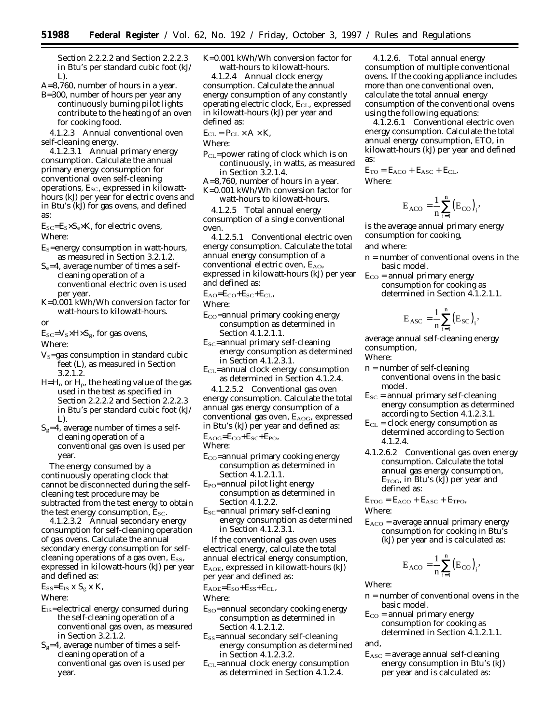Section 2.2.2.2 and Section 2.2.2.3 in Btu's per standard cubic foot (kJ/ L).

A=8,760, number of hours in a year.

B=300, number of hours per year any continuously burning pilot lights contribute to the heating of an oven for cooking food.

4.1.2.3 *Annual conventional oven self-cleaning energy.*

4.1.2.3.1 *Annual primary energy consumption.* Calculate the annual primary energy consumption for conventional oven self-cleaning operations,  $E_{SC}$ , expressed in kilowatthours (kJ) per year for electric ovens and in Btu's (kJ) for gas ovens, and defined as:

 $E_{SC} = E_S \times S_e \times K$ , for electric ovens,

Where:

- $E<sub>S</sub>=$ energy consumption in watt-hours, as measured in Section 3.2.1.2.
- $S_e$ =4, average number of times a selfcleaning operation of a conventional electric oven is used per year.

K=0.001 kWh/Wh conversion factor for watt-hours to kilowatt-hours.

or

 $E_{SC} = V_s \times H \times S_g$ , for gas ovens,

Where:

- $V<sub>S</sub> = gas consumption in standard cubic$ feet (L), as measured in Section 3.2.1.2.
- $H=H_n$  or  $H_p$ , the heating value of the gas used in the test as specified in Section 2.2.2.2 and Section 2.2.2.3 in Btu's per standard cubic foot (kJ/ L).
- $S_g=4$ , average number of times a selfcleaning operation of a conventional gas oven is used per year.

The energy consumed by a continuously operating clock that cannot be disconnected during the selfcleaning test procedure may be subtracted from the test energy to obtain the test energy consumption,  $E_{SC}$ .

4.1.2.3.2 *Annual secondary energy consumption for self-cleaning operation of gas ovens.* Calculate the annual secondary energy consumption for selfcleaning operations of a gas oven,  $E_{SS}$ , expressed in kilowatt-hours (kJ) per year and defined as:

 $E_{SS} = E_{IS}$  x  $S_g$  x K,

Where:

- $E<sub>IS</sub>=electrical energy consumed during$ the self-cleaning operation of a conventional gas oven, as measured in Section 3.2.1.2.
- $S_g=4$ , average number of times a selfcleaning operation of a conventional gas oven is used per year.

K=0.001 kWh/Wh conversion factor for watt-hours to kilowatt-hours.

4.1.2.4 *Annual clock energy consumption.* Calculate the annual energy consumption of any constantly operating electric clock, E<sub>CL</sub>, expressed in kilowatt-hours (kJ) per year and defined as:

 $E_{CL} = P_{CL} \times A \times K$ ,

Where:

- $P_{CL}$ =power rating of clock which is on continuously, in watts, as measured in Section 3.2.1.4.
- A=8,760, number of hours in a year.
- K=0.001 kWh/Wh conversion factor for watt-hours to kilowatt-hours.

4.1.2.5 *Total annual energy consumption of a single conventional oven.*

4.1.2.5.1 *Conventional electric oven energy consumption.* Calculate the total annual energy consumption of a conventional electric oven,  $E_{AO}$ , expressed in kilowatt-hours (kJ) per year and defined as:

 $E_{AO}=E_{CO}+E_{SC}+E_{CL}$ 

Where:

 $E_{CO}$ =annual primary cooking energy consumption as determined in Section 4.1.2.1.1.

 $E_{SC}$ =annual primary self-cleaning energy consumption as determined in Section 4.1.2.3.1.

 $E<sub>CL</sub>$ =annual clock energy consumption as determined in Section 4.1.2.4.

4.1.2.5.2 *Conventional gas oven energy consumption.* Calculate the total annual gas energy consumption of a conventional gas oven, E<sub>AOG</sub>, expressed in Btu's (kJ) per year and defined as:  $E_{AOG}=E_{CO}+E_{SC}+E_{PO}$ 

Where:

- $E_{CO}$ =annual primary cooking energy consumption as determined in Section 4.1.2.1.1.
- $E_{PO}$ =annual pilot light energy consumption as determined in Section 4.1.2.2.
- $E_{SC}$ =annual primary self-cleaning energy consumption as determined in Section 4.1.2.3.1.

If the conventional gas oven uses electrical energy, calculate the total annual electrical energy consumption, EAOE, expressed in kilowatt-hours (kJ) per year and defined as:

 $E_{AOE}=E_{SO}+E_{SS}+E_{CL}$ 

Where:

- $E<sub>SO</sub>$ =annual secondary cooking energy consumption as determined in Section 4.1.2.1.2.
- ESS=annual secondary self-cleaning energy consumption as determined in Section 4.1.2.3.2.
- $E<sub>CI</sub>$ =annual clock energy consumption as determined in Section 4.1.2.4.

4.1.2.6. *Total annual energy consumption of multiple conventional ovens.* If the cooking appliance includes more than one conventional oven, calculate the total annual energy consumption of the conventional ovens using the following equations:

4.1.2.6.1 *Conventional electric oven energy consumption.* Calculate the total annual energy consumption, ETO, in kilowatt-hours (kJ) per year and defined as:

 $E_{TO} = E_{ACO} + E_{ASC} + E_{CL}$ Where:

$$
E_{ACO} = \frac{1}{n} \sum_{i=1}^{n} (E_{CO})_i,
$$

is the average annual primary energy consumption for cooking, and where:

n = number of conventional ovens in the basic model.

 $E_{CO}$  = annual primary energy consumption for cooking as determined in Section 4.1.2.1.1.

$$
E_{\text{ASC}} = \frac{1}{n} \sum_{i=1}^{n} (E_{\text{SC}})_i,
$$

average annual self-cleaning energy consumption,

Where:

- n = number of self-cleaning conventional ovens in the basic model.
- $E_{SC}$  = annual primary self-cleaning energy consumption as determined according to Section 4.1.2.3.1.
- $E<sub>CL</sub> = clock energy consumption as$ determined according to Section 4.1.2.4.
- 4.1.2.6.2 *Conventional gas oven energy consumption.* Calculate the total annual gas energy consumption,  $E_{\text{TOG}}$ , in Btu's (kJ) per year and defined as:

 $E_{TOG} = E_{ACO} + E_{ASC} + E_{TPO}$ 

Where:

 $E_{ACO}$  = average annual primary energy consumption for cooking in Btu's (kJ) per year and is calculated as:

$$
E_{ACO} = \frac{1}{n} \sum_{i=1}^{n} (E_{CO})_i,
$$

Where:

- n = number of conventional ovens in the basic model.
- $E_{CO}$  = annual primary energy consumption for cooking as determined in Section 4.1.2.1.1.

and,

 $E_{\text{ASC}}$  = average annual self-cleaning energy consumption in Btu's (kJ) per year and is calculated as: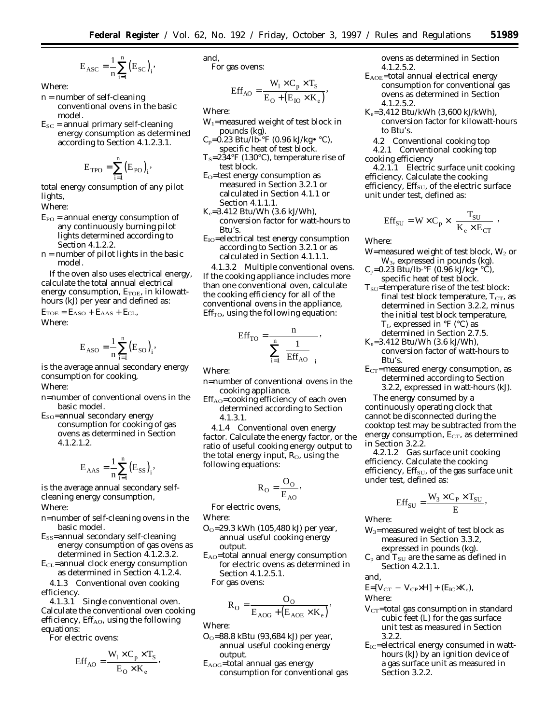$$
E_{\rm ASC} = \frac{1}{n} \sum_{i=1}^n \bigl(E_{\rm SC}\bigr)_i,
$$

Where:

- n = number of self-cleaning conventional ovens in the basic model.
- $E_{SC}$  = annual primary self-cleaning energy consumption as determined according to Section 4.1.2.3.1.

$$
E_{\text{TPO}} = \sum_{i=1}^n \bigl(E_{\text{PO}}\bigr)_i,
$$

total energy consumption of any pilot lights,

Where:

- $E_{PO}$  = annual energy consumption of any continuously burning pilot lights determined according to Section 4.1.2.2.
- n = number of pilot lights in the basic model.

If the oven also uses electrical energy, calculate the total annual electrical energy consumption,  $E_{TOE}$ , in kilowatthours (kJ) per year and defined as:

 $E_{\text{TOE}} = E_{\text{ASO}} + E_{\text{AAS}} + E_{\text{CL}}$ Where:

$$
E_{ASO}=\frac{1}{n}\sum_{i=1}^n\bigl(E_{SO}\bigr)_i,
$$

is the average annual secondary energy consumption for cooking,

Where:

- n=number of conventional ovens in the basic model.
- ESO=annual secondary energy consumption for cooking of gas ovens as determined in Section 4.1.2.1.2.

$$
E_{\text{AAS}} = \frac{1}{n} \sum_{i=1}^{n} (E_{SS})_i,
$$

is the average annual secondary selfcleaning energy consumption, Where:

- n=number of self-cleaning ovens in the basic model.
- ESS=annual secondary self-cleaning energy consumption of gas ovens as determined in Section 4.1.2.3.2.
- $E<sub>CL</sub>$ =annual clock energy consumption as determined in Section 4.1.2.4.

4.1.3 *Conventional oven cooking efficiency.*

4.1.3.1 *Single conventional oven.* Calculate the conventional oven cooking efficiency,  $Eff<sub>AO</sub>$ , using the following equations:

For electric ovens:

$$
Eff_{AO} = \frac{W_1 \times C_p \times T_S}{E_O \times K_e},
$$

and, 
$$
For \, gas \, over
$$

For gas ovens:

$$
Eff_{AO} = \frac{W_1 \times C_p \times T_S}{E_O + (E_{IO} \times K_e)},
$$

Where:

- $W_1$ =measured weight of test block in pounds (kg).
- $C_p = 0.23$  Btu/lb-°F (0.96 kJ/kg• °C), specific heat of test block.
- $T_S = 234$ °F (130°C), temperature rise of test block.
- $E<sub>O</sub>$ =test energy consumption as measured in Section 3.2.1 or calculated in Section 4.1.1 or Section 4.1.1.1.
- $K_e = 3.412$  Btu/Wh (3.6 kJ/Wh), conversion factor for watt-hours to Btu's.
- $E_{IO}$ =electrical test energy consumption according to Section 3.2.1 or as calculated in Section 4.1.1.1.

4.1.3.2 *Multiple conventional ovens.* If the cooking appliance includes more than one conventional oven, calculate the cooking efficiency for all of the conventional ovens in the appliance,  $Eff<sub>TO</sub>$ , using the following equation:

$$
Eff_{TO} = \frac{n}{\sum_{i=1}^{n} \left(\frac{1}{Eff_{AO}}\right)^{i}},
$$

Where:

- n=number of conventional ovens in the cooking appliance.
- Eff<sub>AO</sub>=cooking efficiency of each oven determined according to Section 4.1.3.1.

4.1.4 *Conventional oven energy factor.* Calculate the energy factor, or the ratio of useful cooking energy output to the total energy input,  $R<sub>O</sub>$ , using the following equations:

$$
R_O = \frac{O_O}{E_{AO}},
$$

For electric ovens,

Where:

- $O<sub>O</sub>=29.3$  kWh (105,480 kJ) per year, annual useful cooking energy output.
- $E_{AO}$ =total annual energy consumption for electric ovens as determined in Section 4.1.2.5.1.

For gas ovens:

$$
R_{\rm O} = \frac{O_{\rm O}}{E_{\rm AOG} + (E_{\rm AOE} \times K_{\rm e})},
$$

Where:

- $O_0$ =88.8 kBtu (93,684 kJ) per year, annual useful cooking energy output.
- $E_{AOG}$ =total annual gas energy consumption for conventional gas

ovens as determined in Section 4.1.2.5.2.

- EAOE=total annual electrical energy consumption for conventional gas ovens as determined in Section 4.1.2.5.2.
- $K_e = 3,412$  Btu/kWh (3,600 kJ/kWh), conversion factor for kilowatt-hours to Btu's.
	- 4.2 *Conventional cooking top*
- 4.2.1 *Conventional cooking top cooking efficiency*

4.2.1.1 *Electric surface unit cooking efficiency.* Calculate the cooking efficiency, Eff<sub>SU</sub>, of the electric surface unit under test, defined as:

$$
Eff_{SU} = W \times C_p \times \left(\frac{T_{SU}}{K_e \times E_{CT}}\right)
$$

Where:

- W=measured weight of test block,  $W_2$  or W3, expressed in pounds (kg).
- $C_p=0.23 \text{ Btu/lb-}°F (0.96 \text{ kJ/kg}° ^\circC),$ specific heat of test block.
- $T_{\rm SU}$ =temperature rise of the test block: final test block temperature,  $T_{CT}$ , as determined in Section 3.2.2, minus the initial test block temperature,  $T<sub>I</sub>$ , expressed in  ${}^{\circ}$ F ( ${}^{\circ}$ C) as determined in Section 2.7.5.
- $K_e = 3.412$  Btu/Wh (3.6 kJ/Wh), conversion factor of watt-hours to Btu's.
- $E<sub>CT</sub>=$  measured energy consumption, as determined according to Section 3.2.2, expressed in watt-hours (kJ).

The energy consumed by a continuously operating clock that cannot be disconnected during the cooktop test may be subtracted from the energy consumption,  $E_{CT}$ , as determined in Section 3.2.2.

4.2.1.2 *Gas surface unit cooking efficiency*. Calculate the cooking efficiency, Eff<sub>SU</sub>, of the gas surface unit under test, defined as:

$$
\text{Eff}_{\text{SU}} = \frac{W_3 \times C_{\text{P}} \times T_{\text{SU}}}{E},
$$

Where:

- W3=measured weight of test block as measured in Section 3.3.2, expressed in pounds (kg).
- $C_p$  and  $T_{SU}$  are the same as defined in Section 4.2.1.1.

and,

$$
E=[V_{CT} - V_{CP} \times H] + (E_{IC} \times K_e),
$$

Where:

- $V_{CT}$ =total gas consumption in standard cubic feet (L) for the gas surface unit test as measured in Section 3.2.2.
- $E_{IC}$ =electrical energy consumed in watthours (kJ) by an ignition device of a gas surface unit as measured in Section 3.2.2.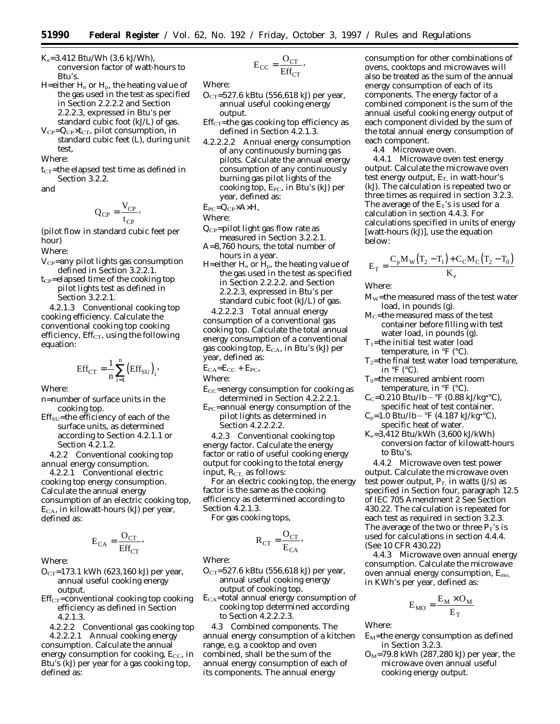$K_e = 3.412$  Btu/Wh  $(3.6 \text{ kJ/Wh})$ , conversion factor of watt-hours to Btu's.

H=either  $H_n$  or  $H_p$ , the heating value of the gas used in the test as specified in Section 2.2.2.2 and Section 2.2.2.3, expressed in Btu's per standard cubic foot (kJ/L) of gas.

V<sub>CP</sub>=Q<sub>CP</sub>×t<sub>CT</sub>, pilot consumption, in standard cubic feet (L), during unit test,

Where:

 $t<sub>CT</sub>$ =the elapsed test time as defined in Section 3.2.2.

and

$$
Q_{CP} = \frac{V_{CP}}{t_{CP}},
$$

(pilot flow in standard cubic feet per hour)

Where:

- $V_{CP}$ =any pilot lights gas consumption defined in Section 3.2.2.1.
- $t_{CP}$ =elapsed time of the cooking top pilot lights test as defined in Section 3.2.2.1.

4.2.1.3 *Conventional cooking top cooking efficiency*. Calculate the conventional cooking top cooking efficiency, Eff $_{CT}$ , using the following equation:

$$
Eff_{CT} = \frac{1}{n} \sum_{i=1}^{n} (Eff_{SU})_i,
$$

Where:

- n=number of surface units in the cooking top.
- $Eff<sub>SU</sub>=$ the efficiency of each of the surface units, as determined according to Section 4.2.1.1 or Section 4.2.1.2.

4.2.2 *Conventional cooking top annual energy consumption*.

4.2.2.1 *Conventional electric cooking top energy consumption*. Calculate the annual energy consumption of an electric cooking top,  $E<sub>CA</sub>$ , in kilowatt-hours (kJ) per year, defined as:

$$
E_{CA} = \frac{O_{CT}}{Eff_{CT}},
$$

Where:

- $O<sub>CT</sub>=173.1$  kWh (623,160 kJ) per year, annual useful cooking energy output.
- $Eff<sub>CT</sub>=conventional cooking top cooking$ efficiency as defined in Section 4.2.1.3.
- 4.2.2.2 *Conventional gas cooking top* 4.2.2.2.1 *Annual cooking energy*

*consumption*. Calculate the annual energy consumption for cooking,  $E_{CC}$ , in Btu's (kJ) per year for a gas cooking top, defined as:

$$
E_{CC} = \frac{O_{CT}}{Eff_{CT}},
$$

Where:

- $O<sub>CT</sub>=527.6$  kBtu (556,618 kJ) per year, annual useful cooking energy output.
- $Eff<sub>CT</sub>=$ the gas cooking top efficiency as defined in Section 4.2.1.3.
- 4.2.2.2.2 *Annual energy consumption of any continuously burning gas pilots*. Calculate the annual energy consumption of any continuously burning gas pilot lights of the cooking top, E<sub>PC</sub>, in Btu's (kJ) per year, defined as:

 $E_{PC} = Q_{CP} \times A \times H$ ,

Where:

- $Q_{CP}$ =pilot light gas flow rate as measured in Section 3.2.2.1.
- A=8,760 hours, the total number of hours in a year.
- H=either  $H_n$  or  $H_p$ , the heating value of the gas used in the test as specified in Section 2.2.2.2. and Section 2.2.2.3, expressed in Btu's per standard cubic foot (kJ/L) of gas.

4.2.2.2.3 *Total annual energy consumption of a conventional gas cooking top*. Calculate the total annual energy consumption of a conventional gas cooking top,  $E_{CA}$ , in Btu's (kJ) per year, defined as:

 $E_{CA}=E_{CC}+E_{PC}$ 

Where:

- $E_{CC}$ =energy consumption for cooking as determined in Section 4.2.2.2.1.
- $E_{PC}$ =annual energy consumption of the pilot lights as determined in Section 4.2.2.2.2.

4.2.3 *Conventional cooking top energy factor.* Calculate the energy factor or ratio of useful cooking energy output for cooking to the total energy input,  $R_{CT}$ , as follows:

For an electric cooking top, the energy factor is the same as the cooking efficiency as determined according to Section 4.2.1.3.

For gas cooking tops,

$$
R_{CT} = \frac{O_{CT}}{E_{CA}},
$$

Where:

- $O<sub>CT</sub>=527.6$  kBtu (556,618 kJ) per year, annual useful cooking energy output of cooking top.
- ECA=total annual energy consumption of cooking top determined according to Section 4.2.2.2.3.

4.3 *Combined components.* The annual energy consumption of a kitchen range, e.g. a cooktop and oven combined, shall be the sum of the annual energy consumption of each of its components. The annual energy

consumption for other combinations of ovens, cooktops and microwaves will also be treated as the sum of the annual energy consumption of each of its components. The energy factor of a combined component is the sum of the annual useful cooking energy output of each component divided by the sum of the total annual energy consumption of each component.

4.4 *Microwave oven.*

4.4.1 *Microwave oven test energy output.* Calculate the microwave oven test energy output,  $E_T$ , in watt-hour's (kJ). The calculation is repeated two or three times as required in section 3.2.3. The average of the  $E_T$ 's is used for a calculation in section 4.4.3. For calculations specified in units of energy [watt-hours (kJ)], use the equation below:

$$
E_T = \frac{C_p M_w (T_2 - T_1) + C_C M_C (T_2 - T_0)}{K_e}
$$

Where:

- MW=the measured mass of the test water load, in pounds (g).
- $M<sub>C</sub>$ =the measured mass of the test container before filling with test water load, in pounds (g).
- $T_1$ =the initial test water load temperature, in  ${}^{\circ}$ F ( ${}^{\circ}$ C).
- $T_2$ =the final test water load temperature,
- in  ${}^{\circ}$ F ( ${}^{\circ}$ C).  $T<sub>0</sub>=$ the measured ambient room temperature, in  $\mathrm{P}F$  (°C).
- $C_C = 0.210 \text{ Btu/lb} ^{\circ}F (0.88 \text{ kJ/kg}^{\bullet}C),$ specific heat of test container.
- $C_p = 1.0 \text{ Btu/lb} {}^{\circ}\text{F}$  (4.187 kJ/kg• ${}^{\circ}\text{C}$ ), specific heat of water.
- Ke=3,412 Btu/kWh (3,600 kJ/kWh) conversion factor of kilowatt-hours to Btu's.

4.4.2 *Microwave oven test power output.* Calculate the microwave oven test power output,  $P_T$ , in watts (J/s) as specified in Section four, paragraph 12.5 of IEC 705 Amendment 2 See Section 430.22. The calculation is repeated for each test as required in section 3.2.3. The average of the two or three  $P_T$ 's is used for calculations in section 4.4.4. (See 10 CFR 430.22)

4.4.3 *Microwave oven annual energy consumption.* Calculate the microwave oven annual energy consumption,  $E_{\text{mo}}$ , in KWh's per year, defined as:

$$
E_{MO} = \frac{E_M \times O_M}{E_T}
$$

Where:

- $E_M$ =the energy consumption as defined in Section 3.2.3.
- $O_M$ =79.8 kWh (287,280 kJ) per year, the microwave oven annual useful cooking energy output.